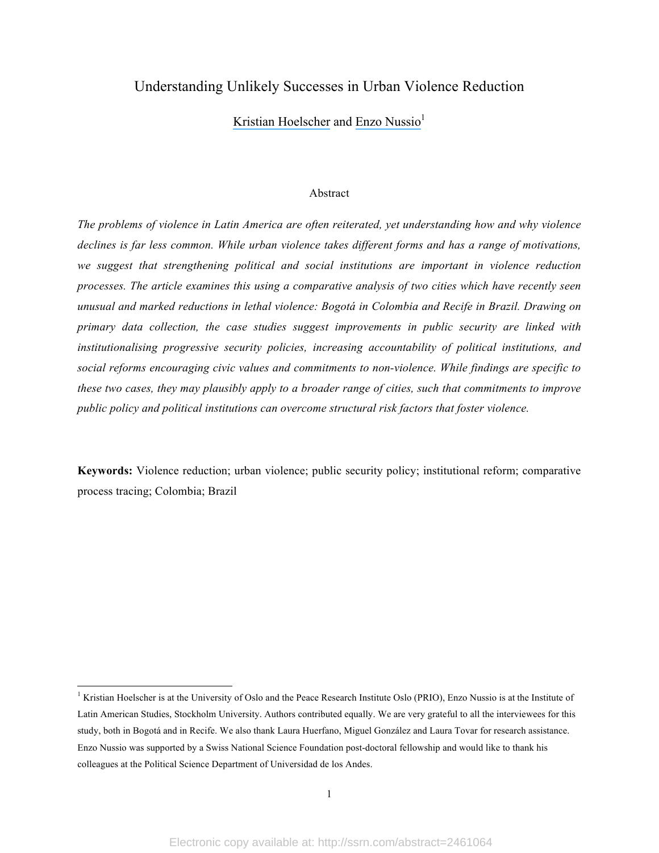# Understanding Unlikely Successes in Urban Violence Reduction

[Kristian Hoelscher](https://www.researchgate.net/profile/Kristian_Hoelscher?el=1_x_100&enrichId=rgreq-b39e6adbe2eec9bd989e225528a306af-XXX&enrichSource=Y292ZXJQYWdlOzI2MzU4MDk5MDtBUzoyMTExODQxMzAyMzY0MTZAMTQyNzM2MTYyODc5Mg==) and [Enzo Nussio](https://www.researchgate.net/profile/Enzo_Nussio?el=1_x_100&enrichId=rgreq-b39e6adbe2eec9bd989e225528a306af-XXX&enrichSource=Y292ZXJQYWdlOzI2MzU4MDk5MDtBUzoyMTExODQxMzAyMzY0MTZAMTQyNzM2MTYyODc5Mg==)<sup>1</sup>

#### Abstract

*The problems of violence in Latin America are often reiterated, yet understanding how and why violence declines is far less common. While urban violence takes different forms and has a range of motivations, we suggest that strengthening political and social institutions are important in violence reduction processes. The article examines this using a comparative analysis of two cities which have recently seen unusual and marked reductions in lethal violence: Bogotá in Colombia and Recife in Brazil. Drawing on primary data collection, the case studies suggest improvements in public security are linked with institutionalising progressive security policies, increasing accountability of political institutions, and social reforms encouraging civic values and commitments to non-violence. While findings are specific to these two cases, they may plausibly apply to a broader range of cities, such that commitments to improve public policy and political institutions can overcome structural risk factors that foster violence.*

**Keywords:** Violence reduction; urban violence; public security policy; institutional reform; comparative process tracing; Colombia; Brazil

<sup>&</sup>lt;sup>1</sup> Kristian Hoelscher is at the University of Oslo and the Peace Research Institute Oslo (PRIO), Enzo Nussio is at the Institute of Latin American Studies, Stockholm University. Authors contributed equally. We are very grateful to all the interviewees for this study, both in Bogotá and in Recife. We also thank Laura Huerfano, Miguel González and Laura Tovar for research assistance. Enzo Nussio was supported by a Swiss National Science Foundation post-doctoral fellowship and would like to thank his colleagues at the Political Science Department of Universidad de los Andes.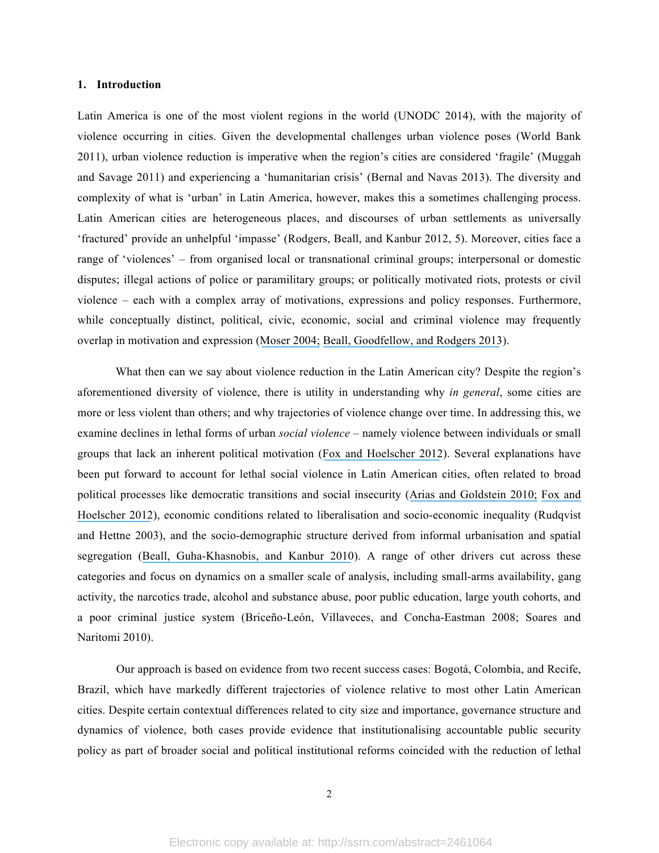#### **1. Introduction**

Latin America is one of the most violent regions in the world (UNODC 2014), with the majority of violence occurring in cities. Given the developmental challenges urban violence poses (World Bank 2011), urban violence reduction is imperative when the region's cities are considered 'fragile' (Muggah and Savage 2011) and experiencing a 'humanitarian crisis' (Bernal and Navas 2013). The diversity and complexity of what is 'urban' in Latin America, however, makes this a sometimes challenging process. Latin American cities are heterogeneous places, and discourses of urban settlements as universally 'fractured' provide an unhelpful 'impasse' (Rodgers, Beall, and Kanbur 2012, 5). Moreover, cities face a range of 'violences' – from organised local or transnational criminal groups; interpersonal or domestic disputes; illegal actions of police or paramilitary groups; or politically motivated riots, protests or civil violence – each with a complex array of motivations, expressions and policy responses. Furthermore, while conceptually distinct, political, civic, economic, social and criminal violence may frequently overlap in motivation and expression ([Moser 2004;](https://www.researchgate.net/publication/265010201_Urban_Violence_and_Insecurity_An_Introductory_Roadmap?el=1_x_8&enrichId=rgreq-b39e6adbe2eec9bd989e225528a306af-XXX&enrichSource=Y292ZXJQYWdlOzI2MzU4MDk5MDtBUzoyMTExODQxMzAyMzY0MTZAMTQyNzM2MTYyODc5Mg==) [Beall, Goodfellow, and Rodgers 2013](https://www.researchgate.net/publication/270712167_Cities_and_Conflict_in_Fragile_States_in_the_Developing_World?el=1_x_8&enrichId=rgreq-b39e6adbe2eec9bd989e225528a306af-XXX&enrichSource=Y292ZXJQYWdlOzI2MzU4MDk5MDtBUzoyMTExODQxMzAyMzY0MTZAMTQyNzM2MTYyODc5Mg==)).

What then can we say about violence reduction in the Latin American city? Despite the region's aforementioned diversity of violence, there is utility in understanding why *in general*, some cities are more or less violent than others; and why trajectories of violence change over time. In addressing this, we examine declines in lethal forms of urban *social violence* – namely violence between individuals or small groups that lack an inherent political motivation ([Fox and Hoelscher 2012](https://www.researchgate.net/publication/254449977_Political_Order_Development_and_Social_Violence?el=1_x_8&enrichId=rgreq-b39e6adbe2eec9bd989e225528a306af-XXX&enrichSource=Y292ZXJQYWdlOzI2MzU4MDk5MDtBUzoyMTExODQxMzAyMzY0MTZAMTQyNzM2MTYyODc5Mg==)). Several explanations have been put forward to account for lethal social violence in Latin American cities, often related to broad political processes like democratic transitions and social insecurity ([Arias and Goldstein 2010;](https://www.researchgate.net/publication/41492848_Violent_Democracies_in_Latin_America?el=1_x_8&enrichId=rgreq-b39e6adbe2eec9bd989e225528a306af-XXX&enrichSource=Y292ZXJQYWdlOzI2MzU4MDk5MDtBUzoyMTExODQxMzAyMzY0MTZAMTQyNzM2MTYyODc5Mg==) [Fox and](https://www.researchgate.net/publication/254449977_Political_Order_Development_and_Social_Violence?el=1_x_8&enrichId=rgreq-b39e6adbe2eec9bd989e225528a306af-XXX&enrichSource=Y292ZXJQYWdlOzI2MzU4MDk5MDtBUzoyMTExODQxMzAyMzY0MTZAMTQyNzM2MTYyODc5Mg==)  [Hoelscher 2012](https://www.researchgate.net/publication/254449977_Political_Order_Development_and_Social_Violence?el=1_x_8&enrichId=rgreq-b39e6adbe2eec9bd989e225528a306af-XXX&enrichSource=Y292ZXJQYWdlOzI2MzU4MDk5MDtBUzoyMTExODQxMzAyMzY0MTZAMTQyNzM2MTYyODc5Mg==)), economic conditions related to liberalisation and socio-economic inequality (Rudqvist and Hettne 2003), and the socio-demographic structure derived from informal urbanisation and spatial segregation ([Beall, Guha-Khasnobis, and Kanbur 2010](https://www.researchgate.net/publication/48910150_Urbanization_and_Development_Multidisciplinary_Perspectives?el=1_x_8&enrichId=rgreq-b39e6adbe2eec9bd989e225528a306af-XXX&enrichSource=Y292ZXJQYWdlOzI2MzU4MDk5MDtBUzoyMTExODQxMzAyMzY0MTZAMTQyNzM2MTYyODc5Mg==)). A range of other drivers cut across these categories and focus on dynamics on a smaller scale of analysis, including small-arms availability, gang activity, the narcotics trade, alcohol and substance abuse, poor public education, large youth cohorts, and a poor criminal justice system (Briceño-León, Villaveces, and Concha-Eastman 2008; Soares and Naritomi 2010).

Our approach is based on evidence from two recent success cases: Bogotá, Colombia, and Recife, Brazil, which have markedly different trajectories of violence relative to most other Latin American cities. Despite certain contextual differences related to city size and importance, governance structure and dynamics of violence, both cases provide evidence that institutionalising accountable public security policy as part of broader social and political institutional reforms coincided with the reduction of lethal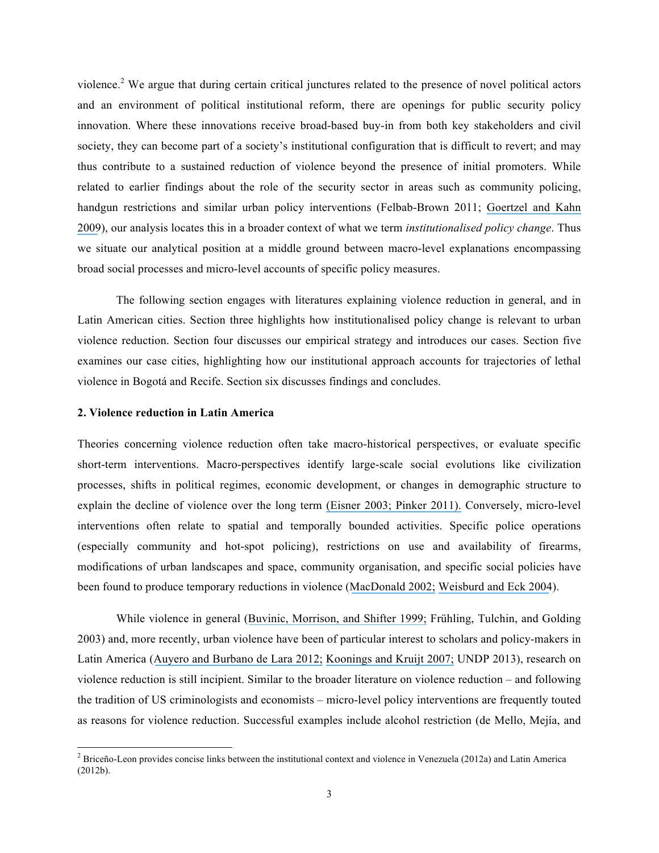violence.<sup>2</sup> We argue that during certain critical junctures related to the presence of novel political actors and an environment of political institutional reform, there are openings for public security policy innovation. Where these innovations receive broad-based buy-in from both key stakeholders and civil society, they can become part of a society's institutional configuration that is difficult to revert; and may thus contribute to a sustained reduction of violence beyond the presence of initial promoters. While related to earlier findings about the role of the security sector in areas such as community policing, handgun restrictions and similar urban policy interventions (Felbab-Brown 2011; [Goertzel and Kahn](https://www.researchgate.net/publication/249715357_The_Great_Sao_Paulo_Homicide_Drop?el=1_x_8&enrichId=rgreq-b39e6adbe2eec9bd989e225528a306af-XXX&enrichSource=Y292ZXJQYWdlOzI2MzU4MDk5MDtBUzoyMTExODQxMzAyMzY0MTZAMTQyNzM2MTYyODc5Mg==) [2009](https://www.researchgate.net/publication/249715357_The_Great_Sao_Paulo_Homicide_Drop?el=1_x_8&enrichId=rgreq-b39e6adbe2eec9bd989e225528a306af-XXX&enrichSource=Y292ZXJQYWdlOzI2MzU4MDk5MDtBUzoyMTExODQxMzAyMzY0MTZAMTQyNzM2MTYyODc5Mg==)), our analysis locates this in a broader context of what we term *institutionalised policy change*. Thus we situate our analytical position at a middle ground between macro-level explanations encompassing broad social processes and micro-level accounts of specific policy measures.

The following section engages with literatures explaining violence reduction in general, and in Latin American cities. Section three highlights how institutionalised policy change is relevant to urban violence reduction. Section four discusses our empirical strategy and introduces our cases. Section five examines our case cities, highlighting how our institutional approach accounts for trajectories of lethal violence in Bogotá and Recife. Section six discusses findings and concludes.

#### **2. Violence reduction in Latin America**

Theories concerning violence reduction often take macro-historical perspectives, or evaluate specific short-term interventions. Macro-perspectives identify large-scale social evolutions like civilization processes, shifts in political regimes, economic development, or changes in demographic structure to explain the decline of violence over the long term [\(Eisner 2003; P](https://www.researchgate.net/publication/279936907_Long-Term_Historical_Trends_in_Violent_Crime?el=1_x_8&enrichId=rgreq-b39e6adbe2eec9bd989e225528a306af-XXX&enrichSource=Y292ZXJQYWdlOzI2MzU4MDk5MDtBUzoyMTExODQxMzAyMzY0MTZAMTQyNzM2MTYyODc5Mg==)[inker 201](https://www.researchgate.net/publication/281273810_The_Better_Angels_of_Our_Nature_Why_Violence_Has_Declined?el=1_x_8&enrichId=rgreq-b39e6adbe2eec9bd989e225528a306af-XXX&enrichSource=Y292ZXJQYWdlOzI2MzU4MDk5MDtBUzoyMTExODQxMzAyMzY0MTZAMTQyNzM2MTYyODc5Mg==)[1\).](https://www.researchgate.net/publication/279936907_Long-Term_Historical_Trends_in_Violent_Crime?el=1_x_8&enrichId=rgreq-b39e6adbe2eec9bd989e225528a306af-XXX&enrichSource=Y292ZXJQYWdlOzI2MzU4MDk5MDtBUzoyMTExODQxMzAyMzY0MTZAMTQyNzM2MTYyODc5Mg==) Conversely, micro-level interventions often relate to spatial and temporally bounded activities. Specific police operations (especially community and hot-spot policing), restrictions on use and availability of firearms, modifications of urban landscapes and space, community organisation, and specific social policies have been found to produce temporary reductions in violence ([MacDonald 2002;](https://www.researchgate.net/publication/238342190_The_Effectiveness_of_Community_Policing_in_Reducing_Urban_Violence?el=1_x_8&enrichId=rgreq-b39e6adbe2eec9bd989e225528a306af-XXX&enrichSource=Y292ZXJQYWdlOzI2MzU4MDk5MDtBUzoyMTExODQxMzAyMzY0MTZAMTQyNzM2MTYyODc5Mg==) [Weisburd and Eck 2004](https://www.researchgate.net/publication/240696007_What_Can_Police_Do_to_Reduce_Crime_Disorder_and_Fear?el=1_x_8&enrichId=rgreq-b39e6adbe2eec9bd989e225528a306af-XXX&enrichSource=Y292ZXJQYWdlOzI2MzU4MDk5MDtBUzoyMTExODQxMzAyMzY0MTZAMTQyNzM2MTYyODc5Mg==)).

While violence in general ([Buvinic, Morrison, and Shifter 1999;](https://www.researchgate.net/publication/248587331_Violence_in_Latin_America_and_the_Caribbean_A_Framework_for_Action?el=1_x_8&enrichId=rgreq-b39e6adbe2eec9bd989e225528a306af-XXX&enrichSource=Y292ZXJQYWdlOzI2MzU4MDk5MDtBUzoyMTExODQxMzAyMzY0MTZAMTQyNzM2MTYyODc5Mg==) Frühling, Tulchin, and Golding 2003) and, more recently, urban violence have been of particular interest to scholars and policy-makers in Latin America ([Auyero and Burbano de Lara 2012;](https://www.researchgate.net/publication/274472806_In_harm) [Koonings and Kruijt 2007;](https://www.researchgate.net/publication/46688507_Fractured_Cities_Social_Exclusion_Urban_Violence_and_Contested_Spaces_in_Latin_America?el=1_x_8&enrichId=rgreq-b39e6adbe2eec9bd989e225528a306af-XXX&enrichSource=Y292ZXJQYWdlOzI2MzU4MDk5MDtBUzoyMTExODQxMzAyMzY0MTZAMTQyNzM2MTYyODc5Mg==) UNDP 2013), research on violence reduction is still incipient. Similar to the broader literature on violence reduction – and following the tradition of US criminologists and economists – micro-level policy interventions are frequently touted as reasons for violence reduction. Successful examples include alcohol restriction (de Mello, Mejía, and

<sup>&</sup>lt;sup>2</sup> Briceño-Leon provides concise links between the institutional context and violence in Venezuela (2012a) and Latin America (2012b).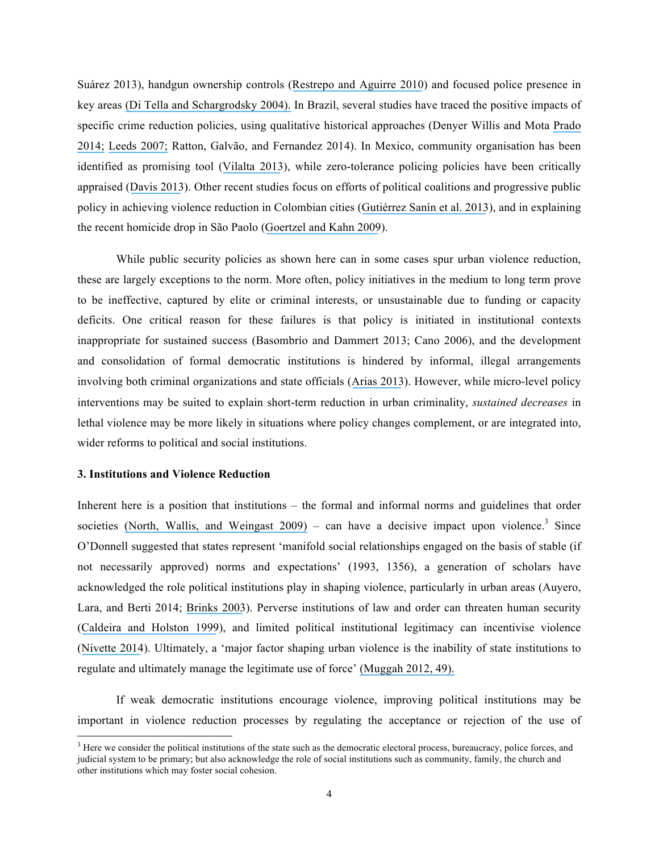Suárez 2013), handgun ownership controls ([Restrepo and Aguirre 2010](https://www.researchgate.net/publication/277275647_El_control_de_armas_como_estrategia_de_reduccion_de_la_violencia_en_Colombia_pertinencia_estado_y_desafios?el=1_x_8&enrichId=rgreq-b39e6adbe2eec9bd989e225528a306af-XXX&enrichSource=Y292ZXJQYWdlOzI2MzU4MDk5MDtBUzoyMTExODQxMzAyMzY0MTZAMTQyNzM2MTYyODc5Mg==)) and focused police presence in key areas [\(Di Tella and Schargrodsky 2004\).](https://www.researchgate.net/publication/4981049_Do_Police_Reduce_Crime_Estimates_Using_the_Allocation_of_Police_Forces_After_a_Terrorist_Attack?el=1_x_8&enrichId=rgreq-b39e6adbe2eec9bd989e225528a306af-XXX&enrichSource=Y292ZXJQYWdlOzI2MzU4MDk5MDtBUzoyMTExODQxMzAyMzY0MTZAMTQyNzM2MTYyODc5Mg==) In Brazil, several studies have traced the positive impacts of specific crime reduction policies, using qualitative historical approaches (Denyer Willis and Mota [Prado](https://www.researchgate.net/publication/263892255_Process_and_Pattern_in_Institutional_Reforms_A_Case_Study_of_the_Police_Pacifying_Units_UPPs_in_Brazil?el=1_x_8&enrichId=rgreq-b39e6adbe2eec9bd989e225528a306af-XXX&enrichSource=Y292ZXJQYWdlOzI2MzU4MDk5MDtBUzoyMTExODQxMzAyMzY0MTZAMTQyNzM2MTYyODc5Mg==) [2014;](https://www.researchgate.net/publication/263892255_Process_and_Pattern_in_Institutional_Reforms_A_Case_Study_of_the_Police_Pacifying_Units_UPPs_in_Brazil?el=1_x_8&enrichId=rgreq-b39e6adbe2eec9bd989e225528a306af-XXX&enrichSource=Y292ZXJQYWdlOzI2MzU4MDk5MDtBUzoyMTExODQxMzAyMzY0MTZAMTQyNzM2MTYyODc5Mg==) [Leeds 2007;](https://www.researchgate.net/publication/249035223_Serving_States_and_Serving_Citizens_Halting_Steps_Toward_Police_Reform_in_Brazil_and_Implications_for_Donor_Intervention?el=1_x_8&enrichId=rgreq-b39e6adbe2eec9bd989e225528a306af-XXX&enrichSource=Y292ZXJQYWdlOzI2MzU4MDk5MDtBUzoyMTExODQxMzAyMzY0MTZAMTQyNzM2MTYyODc5Mg==) Ratton, Galvão, and Fernandez 2014). In Mexico, community organisation has been identified as promising tool ([Vilalta 2013](https://www.researchgate.net/publication/236887743_Towards_an_understanding_of_community_organization_against_crime_The_case_of_Ciudad_Juarez_Mexico?el=1_x_8&enrichId=rgreq-b39e6adbe2eec9bd989e225528a306af-XXX&enrichSource=Y292ZXJQYWdlOzI2MzU4MDk5MDtBUzoyMTExODQxMzAyMzY0MTZAMTQyNzM2MTYyODc5Mg==)), while zero-tolerance policing policies have been critically appraised ([Davis 2013](https://www.researchgate.net/publication/258165278_Zero-Tolerance_Policing_Stealth_Real_Estate_Development_and_the_Transformation_of_Public_Space_Evidence_from_Mexico_City?el=1_x_8&enrichId=rgreq-b39e6adbe2eec9bd989e225528a306af-XXX&enrichSource=Y292ZXJQYWdlOzI2MzU4MDk5MDtBUzoyMTExODQxMzAyMzY0MTZAMTQyNzM2MTYyODc5Mg==)). Other recent studies focus on efforts of political coalitions and progressive public policy in achieving violence reduction in Colombian cities ([Gutiérrez Sanín et al. 2013](https://www.researchgate.net/publication/275504786_The_Importance_of_Political_Coalitions_in_the_Successful_Reduction_of_Violence_in_Colombian_Cities?el=1_x_8&enrichId=rgreq-b39e6adbe2eec9bd989e225528a306af-XXX&enrichSource=Y292ZXJQYWdlOzI2MzU4MDk5MDtBUzoyMTExODQxMzAyMzY0MTZAMTQyNzM2MTYyODc5Mg==)), and in explaining the recent homicide drop in São Paolo ([Goertzel and Kahn 2009](https://www.researchgate.net/publication/249715357_The_Great_Sao_Paulo_Homicide_Drop?el=1_x_8&enrichId=rgreq-b39e6adbe2eec9bd989e225528a306af-XXX&enrichSource=Y292ZXJQYWdlOzI2MzU4MDk5MDtBUzoyMTExODQxMzAyMzY0MTZAMTQyNzM2MTYyODc5Mg==)).

While public security policies as shown here can in some cases spur urban violence reduction, these are largely exceptions to the norm. More often, policy initiatives in the medium to long term prove to be ineffective, captured by elite or criminal interests, or unsustainable due to funding or capacity deficits. One critical reason for these failures is that policy is initiated in institutional contexts inappropriate for sustained success (Basombrío and Dammert 2013; Cano 2006), and the development and consolidation of formal democratic institutions is hindered by informal, illegal arrangements involving both criminal organizations and state officials ([Arias 2013](https://www.researchgate.net/publication/257770904_The_Impacts_of_Differential_Armed_Dominance_of_Politics_in_Rio_de_Janeiro_Brazil?el=1_x_8&enrichId=rgreq-b39e6adbe2eec9bd989e225528a306af-XXX&enrichSource=Y292ZXJQYWdlOzI2MzU4MDk5MDtBUzoyMTExODQxMzAyMzY0MTZAMTQyNzM2MTYyODc5Mg==)). However, while micro-level policy interventions may be suited to explain short-term reduction in urban criminality, *sustained decreases* in lethal violence may be more likely in situations where policy changes complement, or are integrated into, wider reforms to political and social institutions.

# **3. Institutions and Violence Reduction**

!!!!!!!!!!!!!!!!!!!!!!!!!!!!!!!!!!!!!!!!!!!!!!!!!!!!!!!!!!!!

Inherent here is a position that institutions – the formal and informal norms and guidelines that order societies (North, Wallis, and Weingast  $2009$ ) – can have a decisive impact upon violence.<sup>3</sup> Since O'Donnell suggested that states represent 'manifold social relationships engaged on the basis of stable (if not necessarily approved) norms and expectations' (1993, 1356), a generation of scholars have acknowledged the role political institutions play in shaping violence, particularly in urban areas (Auyero, Lara, and Berti 2014; [Brinks 2003](https://www.researchgate.net/publication/271784057_Informal_Institutions_and_the_Rule_of_Law_The_Judicial_Response_to_State_Killings_in_Buenos_Aires_and_Sao_Paulo_in_the_1990s?el=1_x_8&enrichId=rgreq-b39e6adbe2eec9bd989e225528a306af-XXX&enrichSource=Y292ZXJQYWdlOzI2MzU4MDk5MDtBUzoyMTExODQxMzAyMzY0MTZAMTQyNzM2MTYyODc5Mg==)). Perverse institutions of law and order can threaten human security ([Caldeira and Holston 1999](https://www.researchgate.net/publication/231916628_Democracy_and_Violence_in_Brazil?el=1_x_8&enrichId=rgreq-b39e6adbe2eec9bd989e225528a306af-XXX&enrichSource=Y292ZXJQYWdlOzI2MzU4MDk5MDtBUzoyMTExODQxMzAyMzY0MTZAMTQyNzM2MTYyODc5Mg==)), and limited political institutional legitimacy can incentivise violence ([Nivette 2014](https://www.researchgate.net/publication/275770745_Legitimacy_and_crime_Theorizing_the_role_of_the_state_in_cross-national_criminological_theory?el=1_x_8&enrichId=rgreq-b39e6adbe2eec9bd989e225528a306af-XXX&enrichSource=Y292ZXJQYWdlOzI2MzU4MDk5MDtBUzoyMTExODQxMzAyMzY0MTZAMTQyNzM2MTYyODc5Mg==)). Ultimately, a 'major factor shaping urban violence is the inability of state institutions to regulate and ultimately manage the legitimate use of force' [\(Muggah 2012, 49\).](https://www.researchgate.net/publication/265313736_Researching_the_Urban_Dilemma_Urbanization_Poverty_and_Violence?el=1_x_8&enrichId=rgreq-b39e6adbe2eec9bd989e225528a306af-XXX&enrichSource=Y292ZXJQYWdlOzI2MzU4MDk5MDtBUzoyMTExODQxMzAyMzY0MTZAMTQyNzM2MTYyODc5Mg==)

If weak democratic institutions encourage violence, improving political institutions may be important in violence reduction processes by regulating the acceptance or rejection of the use of

 $3$  Here we consider the political institutions of the state such as the democratic electoral process, bureaucracy, police forces, and judicial system to be primary; but also acknowledge the role of social institutions such as community, family, the church and other institutions which may foster social cohesion.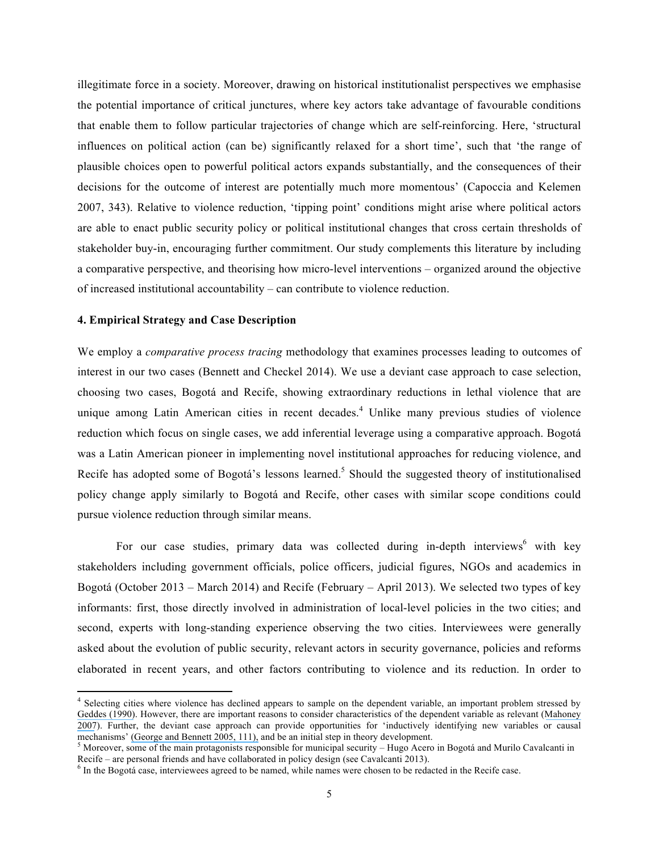illegitimate force in a society. Moreover, drawing on historical institutionalist perspectives we emphasise the potential importance of critical junctures, where key actors take advantage of favourable conditions that enable them to follow particular trajectories of change which are self-reinforcing. Here, 'structural influences on political action (can be) significantly relaxed for a short time', such that 'the range of plausible choices open to powerful political actors expands substantially, and the consequences of their decisions for the outcome of interest are potentially much more momentous' (Capoccia and Kelemen 2007, 343). Relative to violence reduction, 'tipping point' conditions might arise where political actors are able to enact public security policy or political institutional changes that cross certain thresholds of stakeholder buy-in, encouraging further commitment. Our study complements this literature by including a comparative perspective, and theorising how micro-level interventions – organized around the objective of increased institutional accountability – can contribute to violence reduction.

#### **4. Empirical Strategy and Case Description**

!!!!!!!!!!!!!!!!!!!!!!!!!!!!!!!!!!!!!!!!!!!!!!!!!!!!!!!!!!!!

We employ a *comparative process tracing* methodology that examines processes leading to outcomes of interest in our two cases (Bennett and Checkel 2014). We use a deviant case approach to case selection, choosing two cases, Bogotá and Recife, showing extraordinary reductions in lethal violence that are unique among Latin American cities in recent decades.<sup>4</sup> Unlike many previous studies of violence reduction which focus on single cases, we add inferential leverage using a comparative approach. Bogotá was a Latin American pioneer in implementing novel institutional approaches for reducing violence, and Recife has adopted some of Bogotá's lessons learned.<sup>5</sup> Should the suggested theory of institutionalised policy change apply similarly to Bogotá and Recife, other cases with similar scope conditions could pursue violence reduction through similar means.

For our case studies, primary data was collected during in-depth interviews<sup>6</sup> with key stakeholders including government officials, police officers, judicial figures, NGOs and academics in Bogotá (October 2013 – March 2014) and Recife (February – April 2013). We selected two types of key informants: first, those directly involved in administration of local-level policies in the two cities; and second, experts with long-standing experience observing the two cities. Interviewees were generally asked about the evolution of public security, relevant actors in security governance, policies and reforms elaborated in recent years, and other factors contributing to violence and its reduction. In order to

<sup>&</sup>lt;sup>4</sup> Selecting cities where violence has declined appears to sample on the dependent variable, an important problem stressed by [Geddes \(1990\)](https://www.researchgate.net/publication/31481359_How_the_Cases_You_Choose_Affect_the_Answers_You_Get_Selection_Bias_in_Comparative_Politics?el=1_x_8&enrichId=rgreq-b39e6adbe2eec9bd989e225528a306af-XXX&enrichSource=Y292ZXJQYWdlOzI2MzU4MDk5MDtBUzoyMTExODQxMzAyMzY0MTZAMTQyNzM2MTYyODc5Mg==). However, there are important reasons to consider characteristics of the dependent variable as relevant ([Mahoney](https://www.researchgate.net/publication/249699740_Qualitative_Methodology_and_Comparative_Politics?el=1_x_8&enrichId=rgreq-b39e6adbe2eec9bd989e225528a306af-XXX&enrichSource=Y292ZXJQYWdlOzI2MzU4MDk5MDtBUzoyMTExODQxMzAyMzY0MTZAMTQyNzM2MTYyODc5Mg==)  [2007](https://www.researchgate.net/publication/249699740_Qualitative_Methodology_and_Comparative_Politics?el=1_x_8&enrichId=rgreq-b39e6adbe2eec9bd989e225528a306af-XXX&enrichSource=Y292ZXJQYWdlOzI2MzU4MDk5MDtBUzoyMTExODQxMzAyMzY0MTZAMTQyNzM2MTYyODc5Mg==)). Further, the deviant case approach can provide opportunities for 'inductively identifying new variables or causal mechanisms' [\(George and Bennett 2005, 111\),](https://www.researchgate.net/publication/224952194_Case_Studies_And_Theory_Development_In_The_Social_Sciences?el=1_x_8&enrichId=rgreq-b39e6adbe2eec9bd989e225528a306af-XXX&enrichSource=Y292ZXJQYWdlOzI2MzU4MDk5MDtBUzoyMTExODQxMzAyMzY0MTZAMTQyNzM2MTYyODc5Mg==) and be an initial step in theory development.<br><sup>5</sup> Moreover, some of the main protagonists responsible for municipal security – Hugo Acero in Bogotá and Murilo Cavalcanti in

Recife – are personal friends and have collaborated in policy design (see Cavalcanti 2013).

 $6$  In the Bogotá case, interviewees agreed to be named, while names were chosen to be redacted in the Recife case.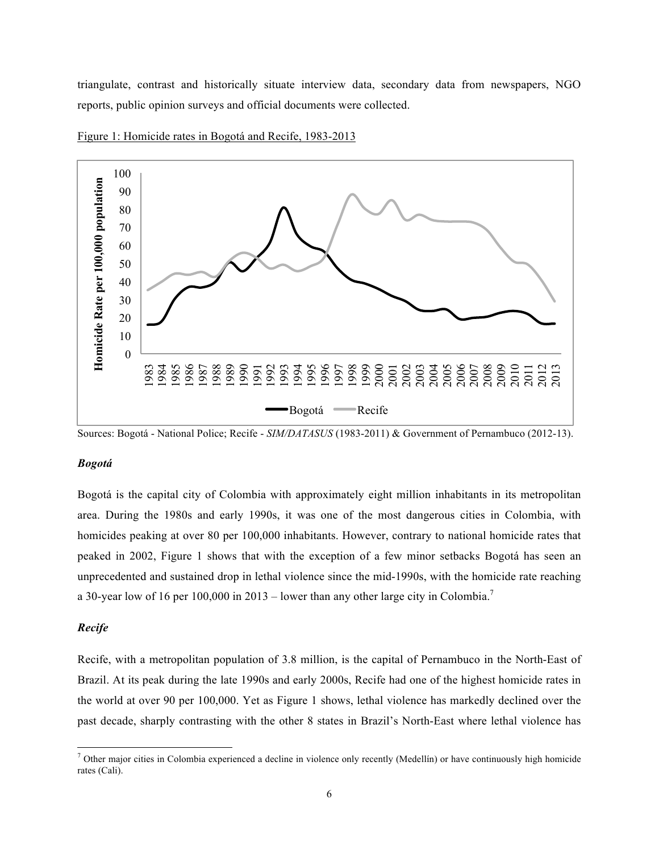triangulate, contrast and historically situate interview data, secondary data from newspapers, NGO reports, public opinion surveys and official documents were collected.



Figure 1: Homicide rates in Bogotá and Recife, 1983-2013

Sources: Bogotá - National Police; Recife - *SIM/DATASUS* (1983-2011) & Government of Pernambuco (2012-13).

# *Bogotá*

Bogotá is the capital city of Colombia with approximately eight million inhabitants in its metropolitan area. During the 1980s and early 1990s, it was one of the most dangerous cities in Colombia, with homicides peaking at over 80 per 100,000 inhabitants. However, contrary to national homicide rates that peaked in 2002, Figure 1 shows that with the exception of a few minor setbacks Bogotá has seen an unprecedented and sustained drop in lethal violence since the mid-1990s, with the homicide rate reaching a 30-year low of 16 per 100,000 in 2013 – lower than any other large city in Colombia.<sup>7</sup>

# *Recife*

!!!!!!!!!!!!!!!!!!!!!!!!!!!!!!!!!!!!!!!!!!!!!!!!!!!!!!!!!!!!

Recife, with a metropolitan population of 3.8 million, is the capital of Pernambuco in the North-East of Brazil. At its peak during the late 1990s and early 2000s, Recife had one of the highest homicide rates in the world at over 90 per 100,000. Yet as Figure 1 shows, lethal violence has markedly declined over the past decade, sharply contrasting with the other 8 states in Brazil's North-East where lethal violence has

 $<sup>7</sup>$  Other major cities in Colombia experienced a decline in violence only recently (Medellín) or have continuously high homicide</sup> rates (Cali).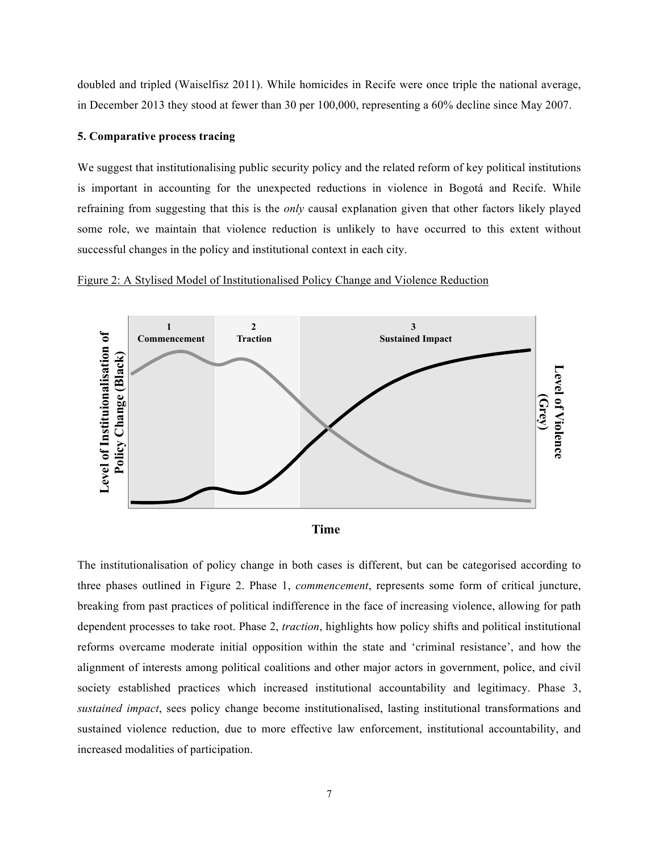doubled and tripled (Waiselfisz 2011). While homicides in Recife were once triple the national average, in December 2013 they stood at fewer than 30 per 100,000, representing a 60% decline since May 2007.

# **5. Comparative process tracing**

We suggest that institutionalising public security policy and the related reform of key political institutions is important in accounting for the unexpected reductions in violence in Bogotá and Recife. While refraining from suggesting that this is the *only* causal explanation given that other factors likely played some role, we maintain that violence reduction is unlikely to have occurred to this extent without successful changes in the policy and institutional context in each city.

Figure 2: A Stylised Model of Institutionalised Policy Change and Violence Reduction



**Time** 

The institutionalisation of policy change in both cases is different, but can be categorised according to three phases outlined in Figure 2. Phase 1, *commencement*, represents some form of critical juncture, breaking from past practices of political indifference in the face of increasing violence, allowing for path dependent processes to take root. Phase 2, *traction*, highlights how policy shifts and political institutional reforms overcame moderate initial opposition within the state and 'criminal resistance', and how the alignment of interests among political coalitions and other major actors in government, police, and civil society established practices which increased institutional accountability and legitimacy. Phase 3, *sustained impact*, sees policy change become institutionalised, lasting institutional transformations and sustained violence reduction, due to more effective law enforcement, institutional accountability, and increased modalities of participation.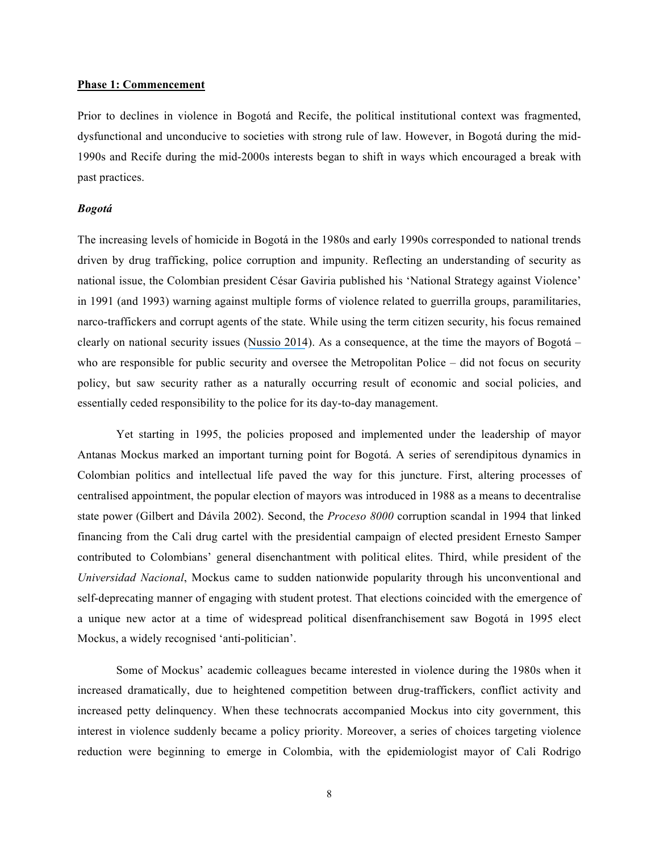#### **Phase 1: Commencement**

Prior to declines in violence in Bogotá and Recife, the political institutional context was fragmented, dysfunctional and unconducive to societies with strong rule of law. However, in Bogotá during the mid-1990s and Recife during the mid-2000s interests began to shift in ways which encouraged a break with past practices.

#### *Bogotá*

The increasing levels of homicide in Bogotá in the 1980s and early 1990s corresponded to national trends driven by drug trafficking, police corruption and impunity. Reflecting an understanding of security as national issue, the Colombian president César Gaviria published his 'National Strategy against Violence' in 1991 (and 1993) warning against multiple forms of violence related to guerrilla groups, paramilitaries, narco-traffickers and corrupt agents of the state. While using the term citizen security, his focus remained clearly on national security issues ([Nussio 2014](https://www.researchgate.net/publication/256032346_Violencia_Terrorismo_y_Guerra_de_Discursos_Dos_Decadas_de_Amenazas_a_la_Seguridad_Vistas_por_los_Presidentes_Colombianos_Violence_Terrorism_and_War_of_Discourses_Two_Decades_of_Security_Threats_Seen_f?el=1_x_8&enrichId=rgreq-b39e6adbe2eec9bd989e225528a306af-XXX&enrichSource=Y292ZXJQYWdlOzI2MzU4MDk5MDtBUzoyMTExODQxMzAyMzY0MTZAMTQyNzM2MTYyODc5Mg==)). As a consequence, at the time the mayors of Bogotá – who are responsible for public security and oversee the Metropolitan Police – did not focus on security policy, but saw security rather as a naturally occurring result of economic and social policies, and essentially ceded responsibility to the police for its day-to-day management.

Yet starting in 1995, the policies proposed and implemented under the leadership of mayor Antanas Mockus marked an important turning point for Bogotá. A series of serendipitous dynamics in Colombian politics and intellectual life paved the way for this juncture. First, altering processes of centralised appointment, the popular election of mayors was introduced in 1988 as a means to decentralise state power (Gilbert and Dávila 2002). Second, the *Proceso 8000* corruption scandal in 1994 that linked financing from the Cali drug cartel with the presidential campaign of elected president Ernesto Samper contributed to Colombians' general disenchantment with political elites. Third, while president of the *Universidad Nacional*, Mockus came to sudden nationwide popularity through his unconventional and self-deprecating manner of engaging with student protest. That elections coincided with the emergence of a unique new actor at a time of widespread political disenfranchisement saw Bogotá in 1995 elect Mockus, a widely recognised 'anti-politician'.

Some of Mockus' academic colleagues became interested in violence during the 1980s when it increased dramatically, due to heightened competition between drug-traffickers, conflict activity and increased petty delinquency. When these technocrats accompanied Mockus into city government, this interest in violence suddenly became a policy priority. Moreover, a series of choices targeting violence reduction were beginning to emerge in Colombia, with the epidemiologist mayor of Cali Rodrigo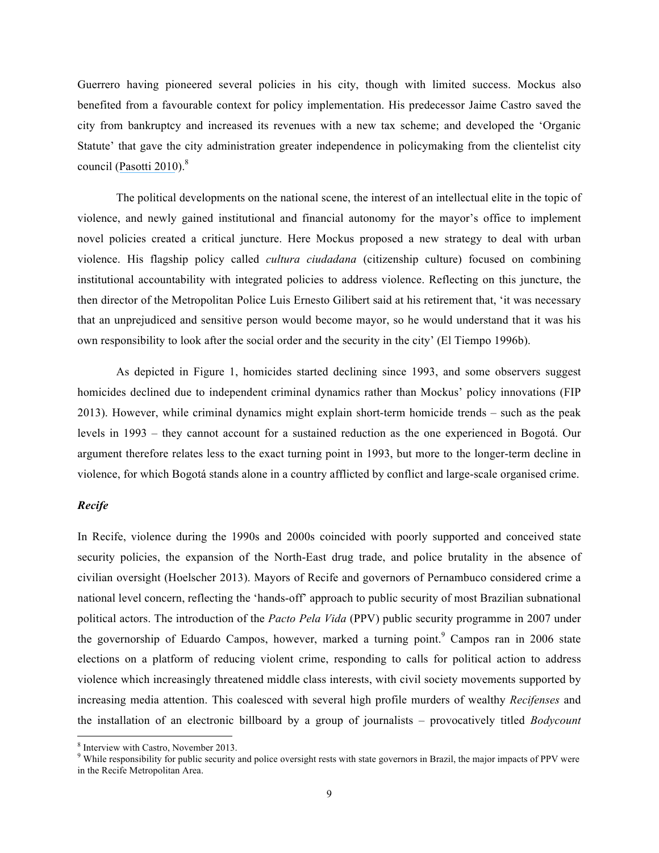Guerrero having pioneered several policies in his city, though with limited success. Mockus also benefited from a favourable context for policy implementation. His predecessor Jaime Castro saved the city from bankruptcy and increased its revenues with a new tax scheme; and developed the 'Organic Statute' that gave the city administration greater independence in policymaking from the clientelist city council ([Pasotti](https://www.researchgate.net/publication/254064107_Political_Branding_in_Cities_The_Decline_of_Machine_Politics_in_Bogota_Naples_and_Chicago?el=1_x_8&enrichId=rgreq-b39e6adbe2eec9bd989e225528a306af-XXX&enrichSource=Y292ZXJQYWdlOzI2MzU4MDk5MDtBUzoyMTExODQxMzAyMzY0MTZAMTQyNzM2MTYyODc5Mg==) 2010). 8

The political developments on the national scene, the interest of an intellectual elite in the topic of violence, and newly gained institutional and financial autonomy for the mayor's office to implement novel policies created a critical juncture. Here Mockus proposed a new strategy to deal with urban violence. His flagship policy called *cultura ciudadana* (citizenship culture) focused on combining institutional accountability with integrated policies to address violence. Reflecting on this juncture, the then director of the Metropolitan Police Luis Ernesto Gilibert said at his retirement that, 'it was necessary that an unprejudiced and sensitive person would become mayor, so he would understand that it was his own responsibility to look after the social order and the security in the city' (El Tiempo 1996b).

As depicted in Figure 1, homicides started declining since 1993, and some observers suggest homicides declined due to independent criminal dynamics rather than Mockus' policy innovations (FIP 2013). However, while criminal dynamics might explain short-term homicide trends – such as the peak levels in 1993 – they cannot account for a sustained reduction as the one experienced in Bogotá. Our argument therefore relates less to the exact turning point in 1993, but more to the longer-term decline in violence, for which Bogotá stands alone in a country afflicted by conflict and large-scale organised crime.

# *Recife*

In Recife, violence during the 1990s and 2000s coincided with poorly supported and conceived state security policies, the expansion of the North-East drug trade, and police brutality in the absence of civilian oversight (Hoelscher 2013). Mayors of Recife and governors of Pernambuco considered crime a national level concern, reflecting the 'hands-off' approach to public security of most Brazilian subnational political actors. The introduction of the *Pacto Pela Vida* (PPV) public security programme in 2007 under the governorship of Eduardo Campos, however, marked a turning point.<sup>9</sup> Campos ran in 2006 state elections on a platform of reducing violent crime, responding to calls for political action to address violence which increasingly threatened middle class interests, with civil society movements supported by increasing media attention. This coalesced with several high profile murders of wealthy *Recifenses* and the installation of an electronic billboard by a group of journalists – provocatively titled *Bodycount* 

<sup>!!!!!!!!!!!!!!!!!!!!!!!!!!!!!!!!!!!!!!!!!!!!!!!!!!!!!!!!!!!!</sup> 8 Interview with Castro, November 2013.

<sup>&</sup>lt;sup>9</sup> While responsibility for public security and police oversight rests with state governors in Brazil, the major impacts of PPV were in the Recife Metropolitan Area.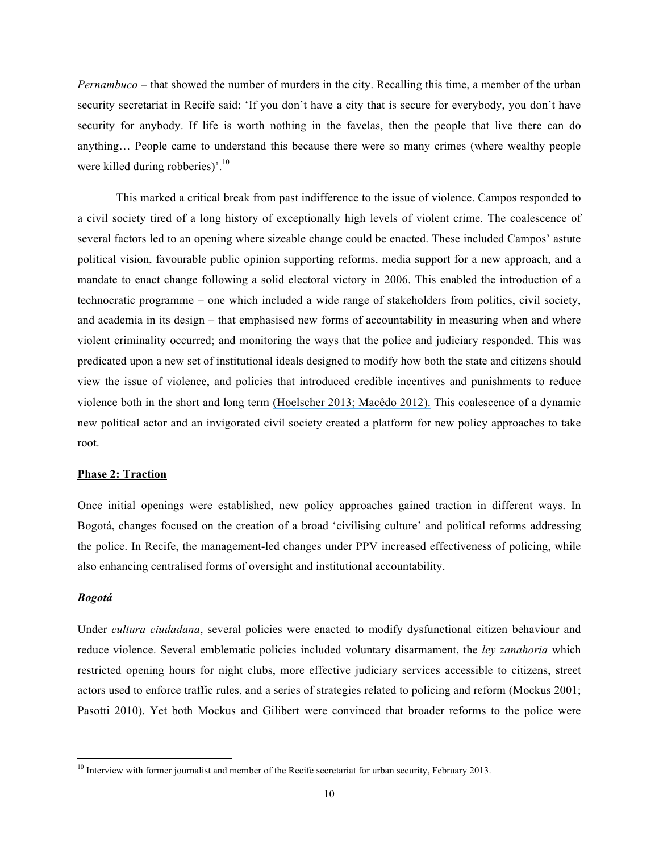*Pernambuco* – that showed the number of murders in the city. Recalling this time, a member of the urban security secretariat in Recife said: 'If you don't have a city that is secure for everybody, you don't have security for anybody. If life is worth nothing in the favelas, then the people that live there can do anything… People came to understand this because there were so many crimes (where wealthy people were killed during robberies)'. $^{10}$ 

This marked a critical break from past indifference to the issue of violence. Campos responded to a civil society tired of a long history of exceptionally high levels of violent crime. The coalescence of several factors led to an opening where sizeable change could be enacted. These included Campos' astute political vision, favourable public opinion supporting reforms, media support for a new approach, and a mandate to enact change following a solid electoral victory in 2006. This enabled the introduction of a technocratic programme – one which included a wide range of stakeholders from politics, civil society, and academia in its design – that emphasised new forms of accountability in measuring when and where violent criminality occurred; and monitoring the ways that the police and judiciary responded. This was predicated upon a new set of institutional ideals designed to modify how both the state and citizens should view the issue of violence, and policies that introduced credible incentives and punishments to reduce violence both in the short and long term [\(Hoelscher 2013; Macêdo 2012\).](https://www.researchgate.net/publication/262466067_Policia_quando_quer_faz_analise_da_estrutura_de_governanca_do_Pacto_pela_Vida_de_Pernambuco?el=1_x_8&enrichId=rgreq-b39e6adbe2eec9bd989e225528a306af-XXX&enrichSource=Y292ZXJQYWdlOzI2MzU4MDk5MDtBUzoyMTExODQxMzAyMzY0MTZAMTQyNzM2MTYyODc5Mg==) This coalescence of a dynamic new political actor and an invigorated civil society created a platform for new policy approaches to take root.

# **Phase 2: Traction**

!!!!!!!!!!!!!!!!!!!!!!!!!!!!!!!!!!!!!!!!!!!!!!!!!!!!!!!!!!!!

Once initial openings were established, new policy approaches gained traction in different ways. In Bogotá, changes focused on the creation of a broad 'civilising culture' and political reforms addressing the police. In Recife, the management-led changes under PPV increased effectiveness of policing, while also enhancing centralised forms of oversight and institutional accountability.

# *Bogotá*

Under *cultura ciudadana*, several policies were enacted to modify dysfunctional citizen behaviour and reduce violence. Several emblematic policies included voluntary disarmament, the *ley zanahoria* which restricted opening hours for night clubs, more effective judiciary services accessible to citizens, street actors used to enforce traffic rules, and a series of strategies related to policing and reform (Mockus 2001; Pasotti 2010). Yet both Mockus and Gilibert were convinced that broader reforms to the police were

<sup>&</sup>lt;sup>10</sup> Interview with former journalist and member of the Recife secretariat for urban security, February 2013.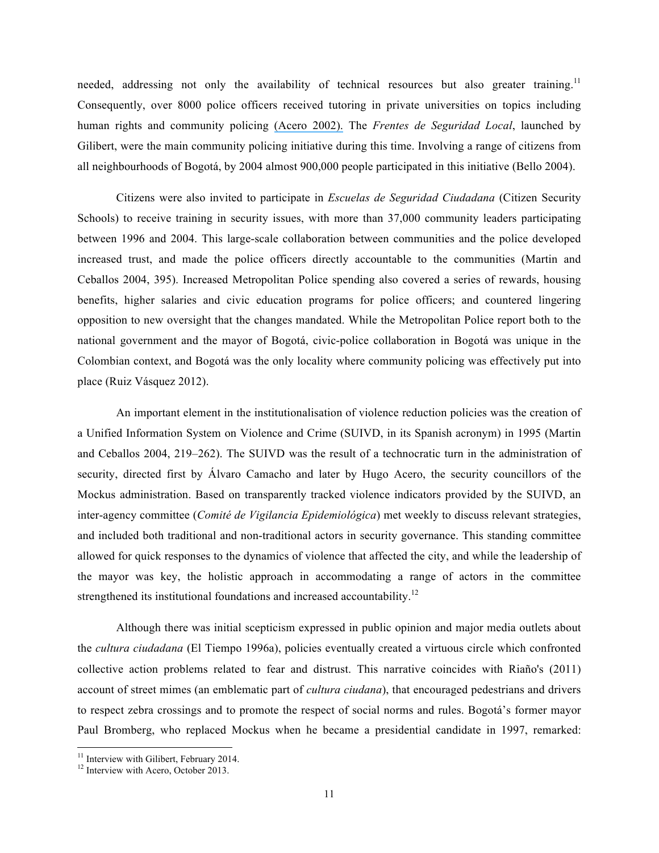needed, addressing not only the availability of technical resources but also greater training.<sup>11</sup> Consequently, over 8000 police officers received tutoring in private universities on topics including human rights and community policing [\(Acero 2002\).](https://www.researchgate.net/publication/237040959_Reduccion_de_la_violencia_y_la_delincuencia_en_Bogota_Colombia_19942002?el=1_x_8&enrichId=rgreq-b39e6adbe2eec9bd989e225528a306af-XXX&enrichSource=Y292ZXJQYWdlOzI2MzU4MDk5MDtBUzoyMTExODQxMzAyMzY0MTZAMTQyNzM2MTYyODc5Mg==) The *Frentes de Seguridad Local*, launched by Gilibert, were the main community policing initiative during this time. Involving a range of citizens from all neighbourhoods of Bogotá, by 2004 almost 900,000 people participated in this initiative (Bello 2004).

Citizens were also invited to participate in *Escuelas de Seguridad Ciudadana* (Citizen Security Schools) to receive training in security issues, with more than 37,000 community leaders participating between 1996 and 2004. This large-scale collaboration between communities and the police developed increased trust, and made the police officers directly accountable to the communities (Martin and Ceballos 2004, 395). Increased Metropolitan Police spending also covered a series of rewards, housing benefits, higher salaries and civic education programs for police officers; and countered lingering opposition to new oversight that the changes mandated. While the Metropolitan Police report both to the national government and the mayor of Bogotá, civic-police collaboration in Bogotá was unique in the Colombian context, and Bogotá was the only locality where community policing was effectively put into place (Ruiz Vásquez 2012).

An important element in the institutionalisation of violence reduction policies was the creation of a Unified Information System on Violence and Crime (SUIVD, in its Spanish acronym) in 1995 (Martin and Ceballos 2004, 219–262). The SUIVD was the result of a technocratic turn in the administration of security, directed first by Álvaro Camacho and later by Hugo Acero, the security councillors of the Mockus administration. Based on transparently tracked violence indicators provided by the SUIVD, an inter-agency committee (*Comité de Vigilancia Epidemiológica*) met weekly to discuss relevant strategies, and included both traditional and non-traditional actors in security governance. This standing committee allowed for quick responses to the dynamics of violence that affected the city, and while the leadership of the mayor was key, the holistic approach in accommodating a range of actors in the committee strengthened its institutional foundations and increased accountability.<sup>12</sup>

Although there was initial scepticism expressed in public opinion and major media outlets about the *cultura ciudadana* (El Tiempo 1996a), policies eventually created a virtuous circle which confronted collective action problems related to fear and distrust. This narrative coincides with Riaño's (2011) account of street mimes (an emblematic part of *cultura ciudana*), that encouraged pedestrians and drivers to respect zebra crossings and to promote the respect of social norms and rules. Bogotá's former mayor Paul Bromberg, who replaced Mockus when he became a presidential candidate in 1997, remarked:

<sup>!!!!!!!!!!!!!!!!!!!!!!!!!!!!!!!!!!!!!!!!!!!!!!!!!!!!!!!!!!!!</sup> <sup>11</sup> Interview with Gilibert, February 2014.

<sup>&</sup>lt;sup>12</sup> Interview with Acero, October 2013.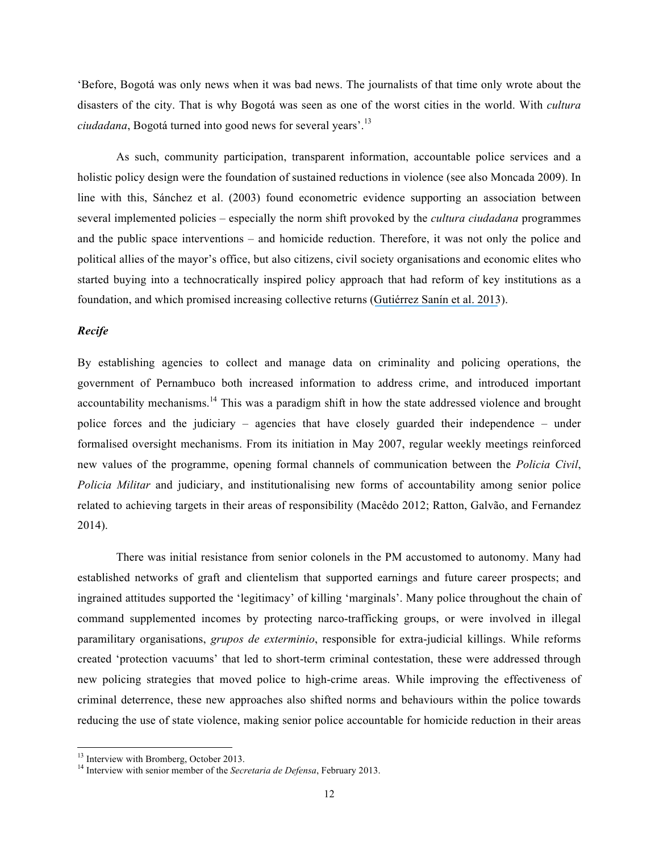'Before, Bogotá was only news when it was bad news. The journalists of that time only wrote about the disasters of the city. That is why Bogotá was seen as one of the worst cities in the world. With *cultura ciudadana*, Bogotá turned into good news for several years'. 13

As such, community participation, transparent information, accountable police services and a holistic policy design were the foundation of sustained reductions in violence (see also Moncada 2009). In line with this, Sánchez et al. (2003) found econometric evidence supporting an association between several implemented policies – especially the norm shift provoked by the *cultura ciudadana* programmes and the public space interventions – and homicide reduction. Therefore, it was not only the police and political allies of the mayor's office, but also citizens, civil society organisations and economic elites who started buying into a technocratically inspired policy approach that had reform of key institutions as a foundation, and which promised increasing collective returns ([Gutiérrez Sanín et al. 2013](https://www.researchgate.net/publication/275504786_The_Importance_of_Political_Coalitions_in_the_Successful_Reduction_of_Violence_in_Colombian_Cities?el=1_x_8&enrichId=rgreq-b39e6adbe2eec9bd989e225528a306af-XXX&enrichSource=Y292ZXJQYWdlOzI2MzU4MDk5MDtBUzoyMTExODQxMzAyMzY0MTZAMTQyNzM2MTYyODc5Mg==)).

## *Recife*

By establishing agencies to collect and manage data on criminality and policing operations, the government of Pernambuco both increased information to address crime, and introduced important accountability mechanisms.<sup>14</sup> This was a paradigm shift in how the state addressed violence and brought police forces and the judiciary – agencies that have closely guarded their independence – under formalised oversight mechanisms. From its initiation in May 2007, regular weekly meetings reinforced new values of the programme, opening formal channels of communication between the *Policia Civil*, *Policia Militar* and judiciary, and institutionalising new forms of accountability among senior police related to achieving targets in their areas of responsibility (Macêdo 2012; Ratton, Galvão, and Fernandez 2014).

There was initial resistance from senior colonels in the PM accustomed to autonomy. Many had established networks of graft and clientelism that supported earnings and future career prospects; and ingrained attitudes supported the 'legitimacy' of killing 'marginals'. Many police throughout the chain of command supplemented incomes by protecting narco-trafficking groups, or were involved in illegal paramilitary organisations, *grupos de exterminio*, responsible for extra-judicial killings. While reforms created 'protection vacuums' that led to short-term criminal contestation, these were addressed through new policing strategies that moved police to high-crime areas. While improving the effectiveness of criminal deterrence, these new approaches also shifted norms and behaviours within the police towards reducing the use of state violence, making senior police accountable for homicide reduction in their areas

<sup>!!!!!!!!!!!!!!!!!!!!!!!!!!!!!!!!!!!!!!!!!!!!!!!!!!!!!!!!!!!!</sup> <sup>13</sup> Interview with Bromberg, October 2013.

<sup>&</sup>lt;sup>14</sup> Interview with senior member of the *Secretaria de Defensa*, February 2013.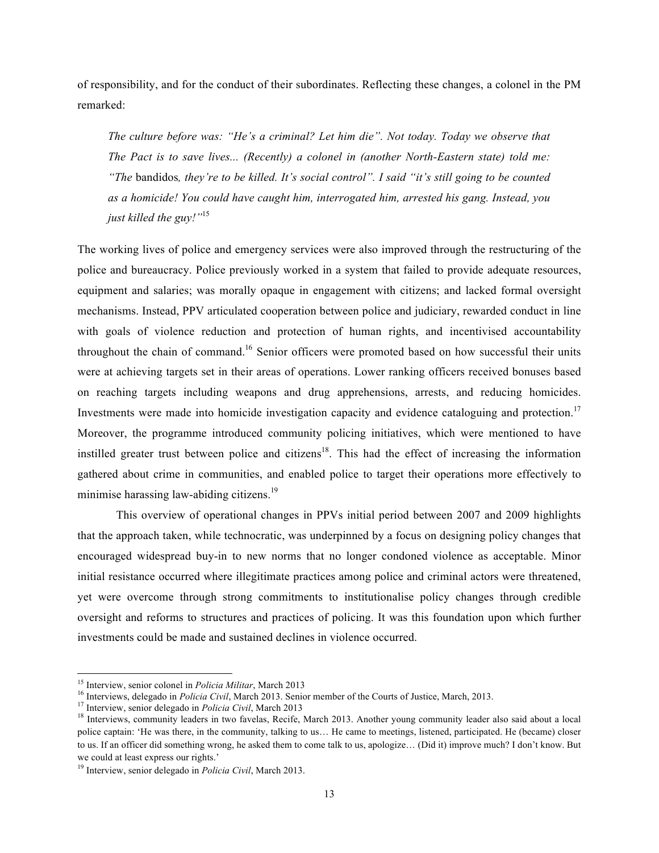of responsibility, and for the conduct of their subordinates. Reflecting these changes, a colonel in the PM remarked:

*The culture before was: "He's a criminal? Let him die". Not today. Today we observe that The Pact is to save lives... (Recently) a colonel in (another North-Eastern state) told me: "The* bandidos*, they're to be killed. It's social control". I said "it's still going to be counted as a homicide! You could have caught him, interrogated him, arrested his gang. Instead, you just killed the guy!"*<sup>15</sup>

The working lives of police and emergency services were also improved through the restructuring of the police and bureaucracy. Police previously worked in a system that failed to provide adequate resources, equipment and salaries; was morally opaque in engagement with citizens; and lacked formal oversight mechanisms. Instead, PPV articulated cooperation between police and judiciary, rewarded conduct in line with goals of violence reduction and protection of human rights, and incentivised accountability throughout the chain of command.<sup>16</sup> Senior officers were promoted based on how successful their units were at achieving targets set in their areas of operations. Lower ranking officers received bonuses based on reaching targets including weapons and drug apprehensions, arrests, and reducing homicides. Investments were made into homicide investigation capacity and evidence cataloguing and protection.<sup>17</sup> Moreover, the programme introduced community policing initiatives, which were mentioned to have instilled greater trust between police and citizens<sup>18</sup>. This had the effect of increasing the information gathered about crime in communities, and enabled police to target their operations more effectively to minimise harassing law-abiding citizens.<sup>19</sup>

This overview of operational changes in PPVs initial period between 2007 and 2009 highlights that the approach taken, while technocratic, was underpinned by a focus on designing policy changes that encouraged widespread buy-in to new norms that no longer condoned violence as acceptable. Minor initial resistance occurred where illegitimate practices among police and criminal actors were threatened, yet were overcome through strong commitments to institutionalise policy changes through credible oversight and reforms to structures and practices of policing. It was this foundation upon which further investments could be made and sustained declines in violence occurred.

!!!!!!!!!!!!!!!!!!!!!!!!!!!!!!!!!!!!!!!!!!!!!!!!!!!!!!!!!!!!

<sup>&</sup>lt;sup>15</sup> Interview, senior colonel in *Policia Militar*, March 2013<br><sup>16</sup> Interviews, delegado in *Policia Civil*, March 2013. Senior member of the Courts of Justice, March, 2013.<br><sup>17</sup> Interview, senior delegado in *Policia Ci* police captain: 'He was there, in the community, talking to us… He came to meetings, listened, participated. He (became) closer to us. If an officer did something wrong, he asked them to come talk to us, apologize… (Did it) improve much? I don't know. But we could at least express our rights.'

<sup>19</sup> Interview, senior delegado in *Policia Civil*, March 2013.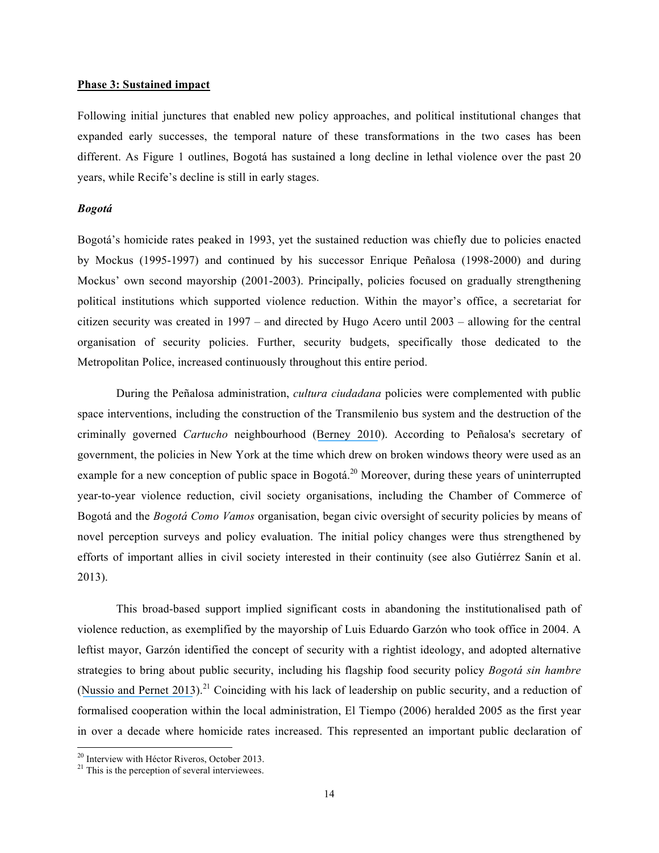#### **Phase 3: Sustained impact**

Following initial junctures that enabled new policy approaches, and political institutional changes that expanded early successes, the temporal nature of these transformations in the two cases has been different. As Figure 1 outlines, Bogotá has sustained a long decline in lethal violence over the past 20 years, while Recife's decline is still in early stages.

## *Bogotá*

Bogotá's homicide rates peaked in 1993, yet the sustained reduction was chiefly due to policies enacted by Mockus (1995-1997) and continued by his successor Enrique Peñalosa (1998-2000) and during Mockus' own second mayorship (2001-2003). Principally, policies focused on gradually strengthening political institutions which supported violence reduction. Within the mayor's office, a secretariat for citizen security was created in 1997 – and directed by Hugo Acero until 2003 – allowing for the central organisation of security policies. Further, security budgets, specifically those dedicated to the Metropolitan Police, increased continuously throughout this entire period.

During the Peñalosa administration, *cultura ciudadana* policies were complemented with public space interventions, including the construction of the Transmilenio bus system and the destruction of the criminally governed *Cartucho* neighbourhood ([Berney 2010](https://www.researchgate.net/publication/233064756_Learning_from_Bogota_How_Municipal_Experts_Transformed_Public_Space?el=1_x_8&enrichId=rgreq-b39e6adbe2eec9bd989e225528a306af-XXX&enrichSource=Y292ZXJQYWdlOzI2MzU4MDk5MDtBUzoyMTExODQxMzAyMzY0MTZAMTQyNzM2MTYyODc5Mg==)). According to Peñalosa's secretary of government, the policies in New York at the time which drew on broken windows theory were used as an example for a new conception of public space in Bogotá.<sup>20</sup> Moreover, during these years of uninterrupted year-to-year violence reduction, civil society organisations, including the Chamber of Commerce of Bogotá and the *Bogotá Como Vamos* organisation, began civic oversight of security policies by means of novel perception surveys and policy evaluation. The initial policy changes were thus strengthened by efforts of important allies in civil society interested in their continuity (see also Gutiérrez Sanín et al. 2013).

This broad-based support implied significant costs in abandoning the institutionalised path of violence reduction, as exemplified by the mayorship of Luis Eduardo Garzón who took office in 2004. A leftist mayor, Garzón identified the concept of security with a rightist ideology, and adopted alternative strategies to bring about public security, including his flagship food security policy *Bogotá sin hambre* ([Nussio and Pernet](https://www.researchgate.net/publication/258514928_The_Securitisation_of_Food_Security_in_Colombia_1970-2010?el=1_x_8&enrichId=rgreq-b39e6adbe2eec9bd989e225528a306af-XXX&enrichSource=Y292ZXJQYWdlOzI2MzU4MDk5MDtBUzoyMTExODQxMzAyMzY0MTZAMTQyNzM2MTYyODc5Mg==) 2013).<sup>21</sup> Coinciding with his lack of leadership on public security, and a reduction of formalised cooperation within the local administration, El Tiempo (2006) heralded 2005 as the first year in over a decade where homicide rates increased. This represented an important public declaration of

!!!!!!!!!!!!!!!!!!!!!!!!!!!!!!!!!!!!!!!!!!!!!!!!!!!!!!!!!!!!

<sup>&</sup>lt;sup>20</sup> Interview with Héctor Riveros, October 2013.

 $21$  This is the perception of several interviewees.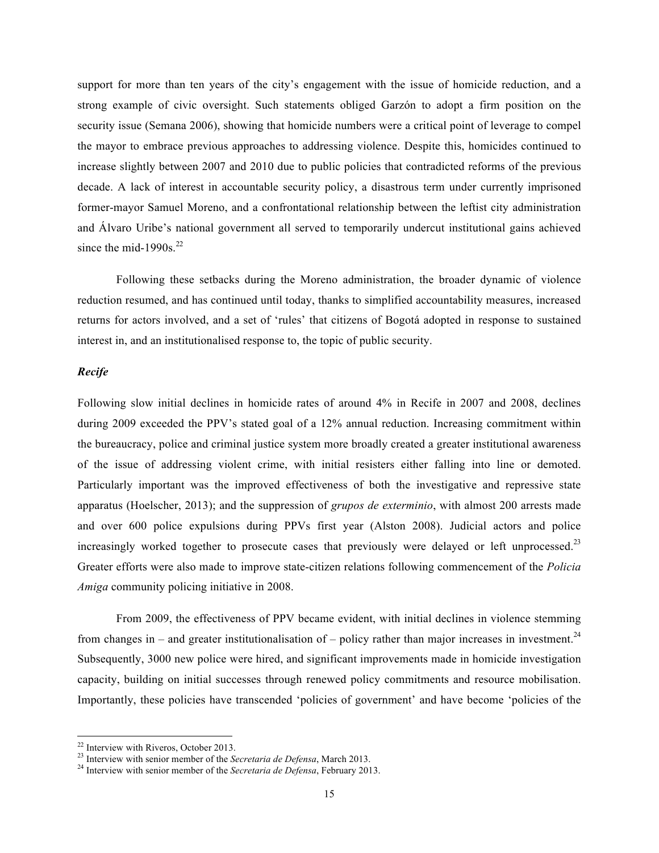support for more than ten years of the city's engagement with the issue of homicide reduction, and a strong example of civic oversight. Such statements obliged Garzón to adopt a firm position on the security issue (Semana 2006), showing that homicide numbers were a critical point of leverage to compel the mayor to embrace previous approaches to addressing violence. Despite this, homicides continued to increase slightly between 2007 and 2010 due to public policies that contradicted reforms of the previous decade. A lack of interest in accountable security policy, a disastrous term under currently imprisoned former-mayor Samuel Moreno, and a confrontational relationship between the leftist city administration and Álvaro Uribe's national government all served to temporarily undercut institutional gains achieved since the mid-1990s.<sup>22</sup>

Following these setbacks during the Moreno administration, the broader dynamic of violence reduction resumed, and has continued until today, thanks to simplified accountability measures, increased returns for actors involved, and a set of 'rules' that citizens of Bogotá adopted in response to sustained interest in, and an institutionalised response to, the topic of public security.

#### *Recife*

Following slow initial declines in homicide rates of around 4% in Recife in 2007 and 2008, declines during 2009 exceeded the PPV's stated goal of a 12% annual reduction. Increasing commitment within the bureaucracy, police and criminal justice system more broadly created a greater institutional awareness of the issue of addressing violent crime, with initial resisters either falling into line or demoted. Particularly important was the improved effectiveness of both the investigative and repressive state apparatus (Hoelscher, 2013); and the suppression of *grupos de exterminio*, with almost 200 arrests made and over 600 police expulsions during PPVs first year (Alston 2008). Judicial actors and police increasingly worked together to prosecute cases that previously were delayed or left unprocessed.<sup>23</sup> Greater efforts were also made to improve state-citizen relations following commencement of the *Policia Amiga* community policing initiative in 2008.

From 2009, the effectiveness of PPV became evident, with initial declines in violence stemming from changes in – and greater institutionalisation of – policy rather than major increases in investment.<sup>24</sup> Subsequently, 3000 new police were hired, and significant improvements made in homicide investigation capacity, building on initial successes through renewed policy commitments and resource mobilisation. Importantly, these policies have transcended 'policies of government' and have become 'policies of the

<sup>!!!!!!!!!!!!!!!!!!!!!!!!!!!!!!!!!!!!!!!!!!!!!!!!!!!!!!!!!!!!</sup> <sup>22</sup> Interview with Riveros, October 2013.

<sup>&</sup>lt;sup>23</sup> Interview with senior member of the *Secretaria de Defensa*, March 2013.<br><sup>24</sup> Interview with senior member of the *Secretaria de Defensa*, February 2013.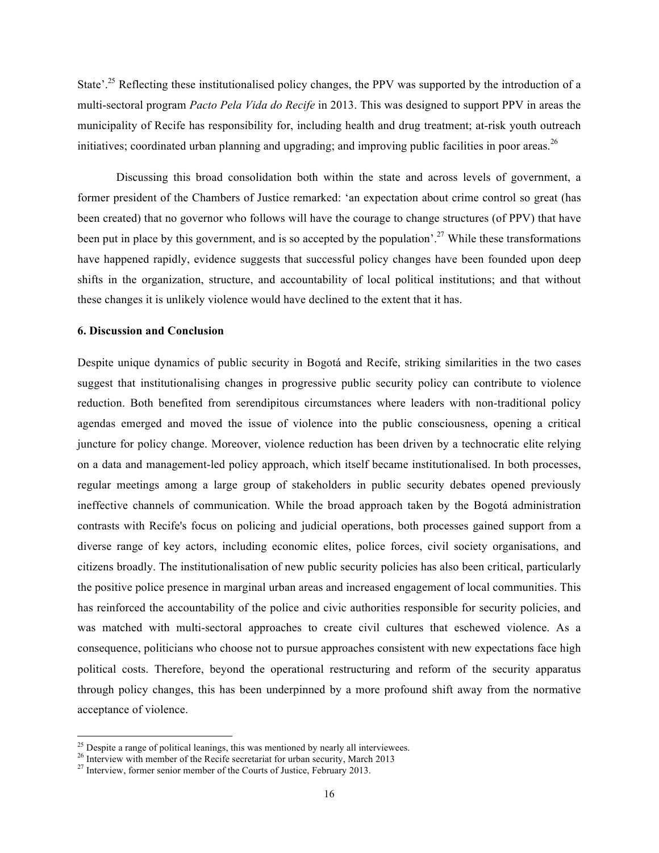State'.<sup>25</sup> Reflecting these institutionalised policy changes, the PPV was supported by the introduction of a multi-sectoral program *Pacto Pela Vida do Recife* in 2013. This was designed to support PPV in areas the municipality of Recife has responsibility for, including health and drug treatment; at-risk youth outreach initiatives; coordinated urban planning and upgrading; and improving public facilities in poor areas.<sup>26</sup>

Discussing this broad consolidation both within the state and across levels of government, a former president of the Chambers of Justice remarked: 'an expectation about crime control so great (has been created) that no governor who follows will have the courage to change structures (of PPV) that have been put in place by this government, and is so accepted by the population'.<sup>27</sup> While these transformations have happened rapidly, evidence suggests that successful policy changes have been founded upon deep shifts in the organization, structure, and accountability of local political institutions; and that without these changes it is unlikely violence would have declined to the extent that it has.

#### **6. Discussion and Conclusion**

Despite unique dynamics of public security in Bogotá and Recife, striking similarities in the two cases suggest that institutionalising changes in progressive public security policy can contribute to violence reduction. Both benefited from serendipitous circumstances where leaders with non-traditional policy agendas emerged and moved the issue of violence into the public consciousness, opening a critical juncture for policy change. Moreover, violence reduction has been driven by a technocratic elite relying on a data and management-led policy approach, which itself became institutionalised. In both processes, regular meetings among a large group of stakeholders in public security debates opened previously ineffective channels of communication. While the broad approach taken by the Bogotá administration contrasts with Recife's focus on policing and judicial operations, both processes gained support from a diverse range of key actors, including economic elites, police forces, civil society organisations, and citizens broadly. The institutionalisation of new public security policies has also been critical, particularly the positive police presence in marginal urban areas and increased engagement of local communities. This has reinforced the accountability of the police and civic authorities responsible for security policies, and was matched with multi-sectoral approaches to create civil cultures that eschewed violence. As a consequence, politicians who choose not to pursue approaches consistent with new expectations face high political costs. Therefore, beyond the operational restructuring and reform of the security apparatus through policy changes, this has been underpinned by a more profound shift away from the normative acceptance of violence.

<sup>&</sup>lt;sup>25</sup> Despite a range of political leanings, this was mentioned by nearly all interviewees.

<sup>&</sup>lt;sup>26</sup> Interview with member of the Recife secretariat for urban security, March 2013

 $27$  Interview, former senior member of the Courts of Justice, February 2013.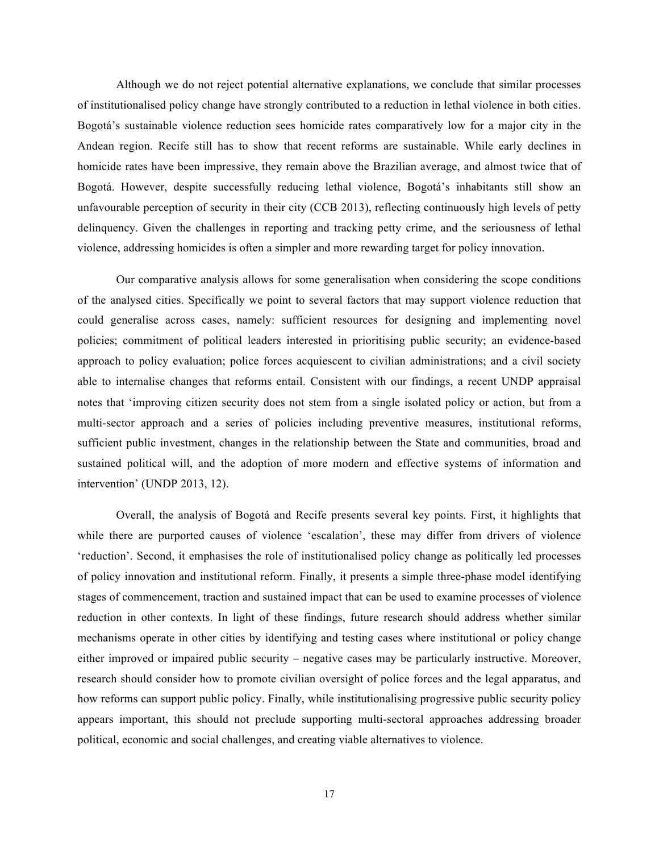Although we do not reject potential alternative explanations, we conclude that similar processes of institutionalised policy change have strongly contributed to a reduction in lethal violence in both cities. Bogotá's sustainable violence reduction sees homicide rates comparatively low for a major city in the Andean region. Recife still has to show that recent reforms are sustainable. While early declines in homicide rates have been impressive, they remain above the Brazilian average, and almost twice that of Bogotá. However, despite successfully reducing lethal violence, Bogotá's inhabitants still show an unfavourable perception of security in their city (CCB 2013), reflecting continuously high levels of petty delinquency. Given the challenges in reporting and tracking petty crime, and the seriousness of lethal violence, addressing homicides is often a simpler and more rewarding target for policy innovation.

Our comparative analysis allows for some generalisation when considering the scope conditions of the analysed cities. Specifically we point to several factors that may support violence reduction that could generalise across cases, namely: sufficient resources for designing and implementing novel policies; commitment of political leaders interested in prioritising public security; an evidence-based approach to policy evaluation; police forces acquiescent to civilian administrations; and a civil society able to internalise changes that reforms entail. Consistent with our findings, a recent UNDP appraisal notes that 'improving citizen security does not stem from a single isolated policy or action, but from a multi-sector approach and a series of policies including preventive measures, institutional reforms, sufficient public investment, changes in the relationship between the State and communities, broad and sustained political will, and the adoption of more modern and effective systems of information and intervention' (UNDP 2013, 12).

Overall, the analysis of Bogotá and Recife presents several key points. First, it highlights that while there are purported causes of violence 'escalation', these may differ from drivers of violence 'reduction'. Second, it emphasises the role of institutionalised policy change as politically led processes of policy innovation and institutional reform. Finally, it presents a simple three-phase model identifying stages of commencement, traction and sustained impact that can be used to examine processes of violence reduction in other contexts. In light of these findings, future research should address whether similar mechanisms operate in other cities by identifying and testing cases where institutional or policy change either improved or impaired public security – negative cases may be particularly instructive. Moreover, research should consider how to promote civilian oversight of police forces and the legal apparatus, and how reforms can support public policy. Finally, while institutionalising progressive public security policy appears important, this should not preclude supporting multi-sectoral approaches addressing broader political, economic and social challenges, and creating viable alternatives to violence.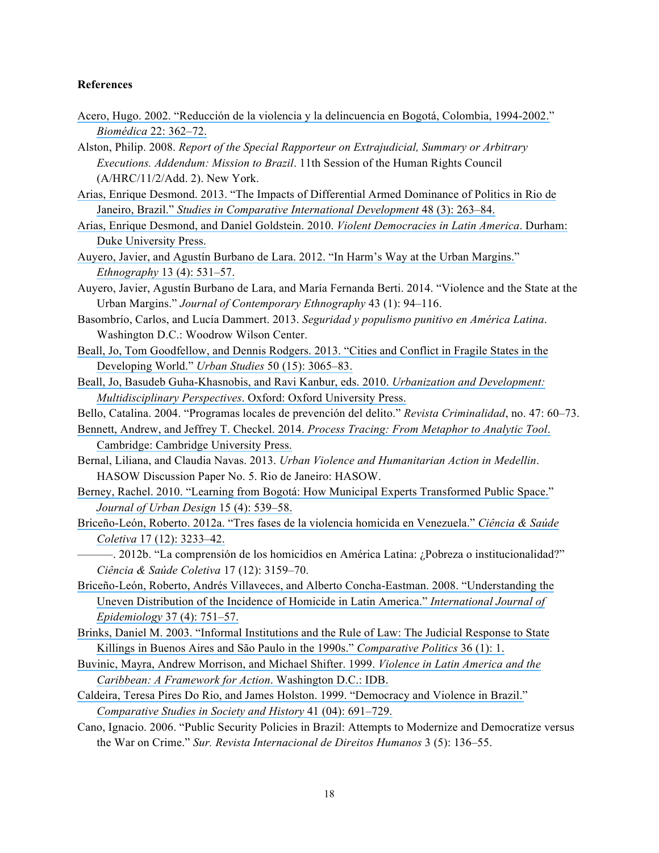#### **References**

- [Acero, Hugo. 2002. "Reducción de la violencia y la delincuencia en Bogotá, Colombia, 1994-2002."](https://www.researchgate.net/publication/237040959_Reduccion_de_la_violencia_y_la_delincuencia_en_Bogota_Colombia_19942002?el=1_x_8&enrichId=rgreq-b39e6adbe2eec9bd989e225528a306af-XXX&enrichSource=Y292ZXJQYWdlOzI2MzU4MDk5MDtBUzoyMTExODQxMzAyMzY0MTZAMTQyNzM2MTYyODc5Mg==) *Biomédica* [22: 362–72.](https://www.researchgate.net/publication/237040959_Reduccion_de_la_violencia_y_la_delincuencia_en_Bogota_Colombia_19942002?el=1_x_8&enrichId=rgreq-b39e6adbe2eec9bd989e225528a306af-XXX&enrichSource=Y292ZXJQYWdlOzI2MzU4MDk5MDtBUzoyMTExODQxMzAyMzY0MTZAMTQyNzM2MTYyODc5Mg==)
- Alston, Philip. 2008. *Report of the Special Rapporteur on Extrajudicial, Summary or Arbitrary Executions. Addendum: Mission to Brazil*. 11th Session of the Human Rights Council (A/HRC/11/2/Add. 2). New York.
- [Arias, Enrique Desmond. 2013. "The Impacts of Differential Armed Dominance of Politics in Rio de](https://www.researchgate.net/publication/257770904_The_Impacts_of_Differential_Armed_Dominance_of_Politics_in_Rio_de_Janeiro_Brazil?el=1_x_8&enrichId=rgreq-b39e6adbe2eec9bd989e225528a306af-XXX&enrichSource=Y292ZXJQYWdlOzI2MzU4MDk5MDtBUzoyMTExODQxMzAyMzY0MTZAMTQyNzM2MTYyODc5Mg==) Janeiro, Brazil." *[Studies in Comparative International Development](https://www.researchgate.net/publication/257770904_The_Impacts_of_Differential_Armed_Dominance_of_Politics_in_Rio_de_Janeiro_Brazil?el=1_x_8&enrichId=rgreq-b39e6adbe2eec9bd989e225528a306af-XXX&enrichSource=Y292ZXJQYWdlOzI2MzU4MDk5MDtBUzoyMTExODQxMzAyMzY0MTZAMTQyNzM2MTYyODc5Mg==)* 48 (3): 263–84.
- [Arias, Enrique Desmond, and Daniel Goldstein. 2010.](https://www.researchgate.net/publication/41492848_Violent_Democracies_in_Latin_America?el=1_x_8&enrichId=rgreq-b39e6adbe2eec9bd989e225528a306af-XXX&enrichSource=Y292ZXJQYWdlOzI2MzU4MDk5MDtBUzoyMTExODQxMzAyMzY0MTZAMTQyNzM2MTYyODc5Mg==) *Violent Democracies in Latin America*. Durham: [Duke University Press.](https://www.researchgate.net/publication/41492848_Violent_Democracies_in_Latin_America?el=1_x_8&enrichId=rgreq-b39e6adbe2eec9bd989e225528a306af-XXX&enrichSource=Y292ZXJQYWdlOzI2MzU4MDk5MDtBUzoyMTExODQxMzAyMzY0MTZAMTQyNzM2MTYyODc5Mg==)
- [Auyero, Javier, and Agustín Burbano de Lara. 2012. "In Harm's Way at the Urban Margins."](https://www.researchgate.net/publication/274472806_In_harm) *Ethnography* [13 \(4\): 531–57.](https://www.researchgate.net/publication/274472806_In_harm)
- Auyero, Javier, Agustín Burbano de Lara, and María Fernanda Berti. 2014. "Violence and the State at the Urban Margins." *Journal of Contemporary Ethnography* 43 (1): 94–116.
- Basombrío, Carlos, and Lucía Dammert. 2013. *Seguridad y populismo punitivo en América Latina*. Washington D.C.: Woodrow Wilson Center.
- [Beall, Jo, Tom Goodfellow, and Dennis Rodgers. 2013. "Cities and Conflict in Fragile States in the](https://www.researchgate.net/publication/270712167_Cities_and_Conflict_in_Fragile_States_in_the_Developing_World?el=1_x_8&enrichId=rgreq-b39e6adbe2eec9bd989e225528a306af-XXX&enrichSource=Y292ZXJQYWdlOzI2MzU4MDk5MDtBUzoyMTExODQxMzAyMzY0MTZAMTQyNzM2MTYyODc5Mg==) [Developing World."](https://www.researchgate.net/publication/270712167_Cities_and_Conflict_in_Fragile_States_in_the_Developing_World?el=1_x_8&enrichId=rgreq-b39e6adbe2eec9bd989e225528a306af-XXX&enrichSource=Y292ZXJQYWdlOzI2MzU4MDk5MDtBUzoyMTExODQxMzAyMzY0MTZAMTQyNzM2MTYyODc5Mg==) *Urban Studies* 50 (15): 3065–83.
- [Beall, Jo, Basudeb Guha-Khasnobis, and Ravi Kanbur, eds. 2010.](https://www.researchgate.net/publication/48910150_Urbanization_and_Development_Multidisciplinary_Perspectives?el=1_x_8&enrichId=rgreq-b39e6adbe2eec9bd989e225528a306af-XXX&enrichSource=Y292ZXJQYWdlOzI2MzU4MDk5MDtBUzoyMTExODQxMzAyMzY0MTZAMTQyNzM2MTYyODc5Mg==) *Urbanization and Development: Multidisciplinary Perspectives*[. Oxford: Oxford University Press.](https://www.researchgate.net/publication/48910150_Urbanization_and_Development_Multidisciplinary_Perspectives?el=1_x_8&enrichId=rgreq-b39e6adbe2eec9bd989e225528a306af-XXX&enrichSource=Y292ZXJQYWdlOzI2MzU4MDk5MDtBUzoyMTExODQxMzAyMzY0MTZAMTQyNzM2MTYyODc5Mg==)

Bello, Catalina. 2004. "Programas locales de prevención del delito." *Revista Criminalidad*, no. 47: 60–73.

- Bennett, Andrew, and Jeffrey T. Checkel. 2014. *[Process Tracing: From Metaphor to Analytic Tool](https://www.researchgate.net/publication/296336773_Process_tracing_From_metaphor_to_analytic_tool?el=1_x_8&enrichId=rgreq-b39e6adbe2eec9bd989e225528a306af-XXX&enrichSource=Y292ZXJQYWdlOzI2MzU4MDk5MDtBUzoyMTExODQxMzAyMzY0MTZAMTQyNzM2MTYyODc5Mg==)*. [Cambridge: Cambridge University Press.](https://www.researchgate.net/publication/296336773_Process_tracing_From_metaphor_to_analytic_tool?el=1_x_8&enrichId=rgreq-b39e6adbe2eec9bd989e225528a306af-XXX&enrichSource=Y292ZXJQYWdlOzI2MzU4MDk5MDtBUzoyMTExODQxMzAyMzY0MTZAMTQyNzM2MTYyODc5Mg==)
- Bernal, Liliana, and Claudia Navas. 2013. *Urban Violence and Humanitarian Action in Medellin*. HASOW Discussion Paper No. 5. Rio de Janeiro: HASOW.
- [Berney, Rachel. 2010. "Learning from Bogotá: How Municipal Experts Transformed Public Space."](https://www.researchgate.net/publication/233064756_Learning_from_Bogota_How_Municipal_Experts_Transformed_Public_Space?el=1_x_8&enrichId=rgreq-b39e6adbe2eec9bd989e225528a306af-XXX&enrichSource=Y292ZXJQYWdlOzI2MzU4MDk5MDtBUzoyMTExODQxMzAyMzY0MTZAMTQyNzM2MTYyODc5Mg==) *[Journal of Urban Design](https://www.researchgate.net/publication/233064756_Learning_from_Bogota_How_Municipal_Experts_Transformed_Public_Space?el=1_x_8&enrichId=rgreq-b39e6adbe2eec9bd989e225528a306af-XXX&enrichSource=Y292ZXJQYWdlOzI2MzU4MDk5MDtBUzoyMTExODQxMzAyMzY0MTZAMTQyNzM2MTYyODc5Mg==)* 15 (4): 539–58.
- [Briceño-León, Roberto. 2012a. "Tres fases de la violencia homicida en Venezuela."](https://www.researchgate.net/publication/233750774_Three_phases_of_homicidal_violence_in_Venezuela?el=1_x_8&enrichId=rgreq-b39e6adbe2eec9bd989e225528a306af-XXX&enrichSource=Y292ZXJQYWdlOzI2MzU4MDk5MDtBUzoyMTExODQxMzAyMzY0MTZAMTQyNzM2MTYyODc5Mg==) *Ciência & Saúde Coletiva* [17 \(12\): 3233–42.](https://www.researchgate.net/publication/233750774_Three_phases_of_homicidal_violence_in_Venezuela?el=1_x_8&enrichId=rgreq-b39e6adbe2eec9bd989e225528a306af-XXX&enrichSource=Y292ZXJQYWdlOzI2MzU4MDk5MDtBUzoyMTExODQxMzAyMzY0MTZAMTQyNzM2MTYyODc5Mg==)
- ———. 2012b. "La comprensión de los homicidios en América Latina: ¿Pobreza o institucionalidad?" *Ciência & Saúde Coletiva* 17 (12): 3159–70.
- [Briceño-León, Roberto, Andrés Villaveces, and Alberto Concha-Eastman. 2008. "Understanding the](https://www.researchgate.net/publication/51426932_Understanding_the_uneven_distribution_of_the_incidence_of_homicide_in_Latin_America?el=1_x_8&enrichId=rgreq-b39e6adbe2eec9bd989e225528a306af-XXX&enrichSource=Y292ZXJQYWdlOzI2MzU4MDk5MDtBUzoyMTExODQxMzAyMzY0MTZAMTQyNzM2MTYyODc5Mg==)  [Uneven Distribution of the Incidence of Homicide in Latin America."](https://www.researchgate.net/publication/51426932_Understanding_the_uneven_distribution_of_the_incidence_of_homicide_in_Latin_America?el=1_x_8&enrichId=rgreq-b39e6adbe2eec9bd989e225528a306af-XXX&enrichSource=Y292ZXJQYWdlOzI2MzU4MDk5MDtBUzoyMTExODQxMzAyMzY0MTZAMTQyNzM2MTYyODc5Mg==) *International Journal of Epidemiology* [37 \(4\): 751–57.](https://www.researchgate.net/publication/51426932_Understanding_the_uneven_distribution_of_the_incidence_of_homicide_in_Latin_America?el=1_x_8&enrichId=rgreq-b39e6adbe2eec9bd989e225528a306af-XXX&enrichSource=Y292ZXJQYWdlOzI2MzU4MDk5MDtBUzoyMTExODQxMzAyMzY0MTZAMTQyNzM2MTYyODc5Mg==)
- [Brinks, Daniel M. 2003. "Informal Institutions and the Rule of Law: The Judicial Response to State](https://www.researchgate.net/publication/271784057_Informal_Institutions_and_the_Rule_of_Law_The_Judicial_Response_to_State_Killings_in_Buenos_Aires_and_Sao_Paulo_in_the_1990s?el=1_x_8&enrichId=rgreq-b39e6adbe2eec9bd989e225528a306af-XXX&enrichSource=Y292ZXJQYWdlOzI2MzU4MDk5MDtBUzoyMTExODQxMzAyMzY0MTZAMTQyNzM2MTYyODc5Mg==) [Killings in Buenos Aires and São Paulo in the 1990s."](https://www.researchgate.net/publication/271784057_Informal_Institutions_and_the_Rule_of_Law_The_Judicial_Response_to_State_Killings_in_Buenos_Aires_and_Sao_Paulo_in_the_1990s?el=1_x_8&enrichId=rgreq-b39e6adbe2eec9bd989e225528a306af-XXX&enrichSource=Y292ZXJQYWdlOzI2MzU4MDk5MDtBUzoyMTExODQxMzAyMzY0MTZAMTQyNzM2MTYyODc5Mg==) *Comparative Politics* 36 (1): 1.
- [Buvinic, Mayra, Andrew Morrison, and Michael Shifter. 1999.](https://www.researchgate.net/publication/248587331_Violence_in_Latin_America_and_the_Caribbean_A_Framework_for_Action?el=1_x_8&enrichId=rgreq-b39e6adbe2eec9bd989e225528a306af-XXX&enrichSource=Y292ZXJQYWdlOzI2MzU4MDk5MDtBUzoyMTExODQxMzAyMzY0MTZAMTQyNzM2MTYyODc5Mg==) *Violence in Latin America and the [Caribbean: A Framework for Action](https://www.researchgate.net/publication/248587331_Violence_in_Latin_America_and_the_Caribbean_A_Framework_for_Action?el=1_x_8&enrichId=rgreq-b39e6adbe2eec9bd989e225528a306af-XXX&enrichSource=Y292ZXJQYWdlOzI2MzU4MDk5MDtBUzoyMTExODQxMzAyMzY0MTZAMTQyNzM2MTYyODc5Mg==)*. Washington D.C.: IDB.
- [Caldeira, Teresa Pires Do Rio, and James Holston. 1999. "Democracy and Violence in Brazil."](https://www.researchgate.net/publication/231916628_Democracy_and_Violence_in_Brazil?el=1_x_8&enrichId=rgreq-b39e6adbe2eec9bd989e225528a306af-XXX&enrichSource=Y292ZXJQYWdlOzI2MzU4MDk5MDtBUzoyMTExODQxMzAyMzY0MTZAMTQyNzM2MTYyODc5Mg==) *[Comparative Studies in Society and History](https://www.researchgate.net/publication/231916628_Democracy_and_Violence_in_Brazil?el=1_x_8&enrichId=rgreq-b39e6adbe2eec9bd989e225528a306af-XXX&enrichSource=Y292ZXJQYWdlOzI2MzU4MDk5MDtBUzoyMTExODQxMzAyMzY0MTZAMTQyNzM2MTYyODc5Mg==)* 41 (04): 691–729.
- Cano, Ignacio. 2006. "Public Security Policies in Brazil: Attempts to Modernize and Democratize versus the War on Crime." *Sur. Revista Internacional de Direitos Humanos* 3 (5): 136–55.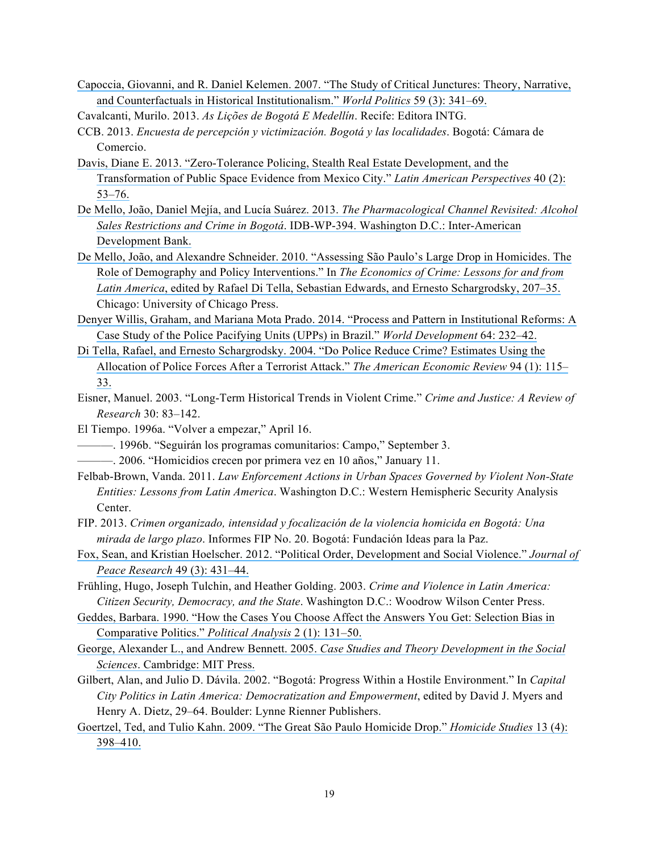- [Capoccia, Giovanni, and R. Daniel Kelemen. 2007. "The Study of Critical Junctures: Theory, Narrative,](https://www.researchgate.net/publication/242426654_The_Study_of_Critical_Junctures_Theory_Narrative_and_Counterfactuals_in_Institutional_Theory?el=1_x_8&enrichId=rgreq-b39e6adbe2eec9bd989e225528a306af-XXX&enrichSource=Y292ZXJQYWdlOzI2MzU4MDk5MDtBUzoyMTExODQxMzAyMzY0MTZAMTQyNzM2MTYyODc5Mg==)  [and Counterfactuals in Historical Institutionalism."](https://www.researchgate.net/publication/242426654_The_Study_of_Critical_Junctures_Theory_Narrative_and_Counterfactuals_in_Institutional_Theory?el=1_x_8&enrichId=rgreq-b39e6adbe2eec9bd989e225528a306af-XXX&enrichSource=Y292ZXJQYWdlOzI2MzU4MDk5MDtBUzoyMTExODQxMzAyMzY0MTZAMTQyNzM2MTYyODc5Mg==) *World Politics* 59 (3): 341–69.
- Cavalcanti, Murilo. 2013. *As Lições de Bogotá E Medellín*. Recife: Editora INTG.
- CCB. 2013. *Encuesta de percepción y victimización. Bogotá y las localidades*. Bogotá: Cámara de Comercio.
- [Davis, Diane E. 2013. "Zero-Tolerance Policing, Stealth Real Estate Development, and the](https://www.researchgate.net/publication/258165278_Zero-Tolerance_Policing_Stealth_Real_Estate_Development_and_the_Transformation_of_Public_Space_Evidence_from_Mexico_City?el=1_x_8&enrichId=rgreq-b39e6adbe2eec9bd989e225528a306af-XXX&enrichSource=Y292ZXJQYWdlOzI2MzU4MDk5MDtBUzoyMTExODQxMzAyMzY0MTZAMTQyNzM2MTYyODc5Mg==)  [Transformation of Public Space Evidence from Mexico City."](https://www.researchgate.net/publication/258165278_Zero-Tolerance_Policing_Stealth_Real_Estate_Development_and_the_Transformation_of_Public_Space_Evidence_from_Mexico_City?el=1_x_8&enrichId=rgreq-b39e6adbe2eec9bd989e225528a306af-XXX&enrichSource=Y292ZXJQYWdlOzI2MzU4MDk5MDtBUzoyMTExODQxMzAyMzY0MTZAMTQyNzM2MTYyODc5Mg==) *Latin American Perspectives* 40 (2): [53–76.](https://www.researchgate.net/publication/258165278_Zero-Tolerance_Policing_Stealth_Real_Estate_Development_and_the_Transformation_of_Public_Space_Evidence_from_Mexico_City?el=1_x_8&enrichId=rgreq-b39e6adbe2eec9bd989e225528a306af-XXX&enrichSource=Y292ZXJQYWdlOzI2MzU4MDk5MDtBUzoyMTExODQxMzAyMzY0MTZAMTQyNzM2MTYyODc5Mg==)
- [De Mello, João, Daniel Mejía, and Lucía Suárez. 2013.](https://www.researchgate.net/publication/256062634_The_Pharmacological_Channel_Revisited_Alcohol_Sales_Restrictions_and_Crime_in_Bogota?el=1_x_8&enrichId=rgreq-b39e6adbe2eec9bd989e225528a306af-XXX&enrichSource=Y292ZXJQYWdlOzI2MzU4MDk5MDtBUzoyMTExODQxMzAyMzY0MTZAMTQyNzM2MTYyODc5Mg==) *The Pharmacological Channel Revisited: Alcohol Sales Restrictions and Crime in Bogotá*[. IDB-WP-394. Washington D.C.: Inter-American](https://www.researchgate.net/publication/256062634_The_Pharmacological_Channel_Revisited_Alcohol_Sales_Restrictions_and_Crime_in_Bogota?el=1_x_8&enrichId=rgreq-b39e6adbe2eec9bd989e225528a306af-XXX&enrichSource=Y292ZXJQYWdlOzI2MzU4MDk5MDtBUzoyMTExODQxMzAyMzY0MTZAMTQyNzM2MTYyODc5Mg==) [Development Bank.](https://www.researchgate.net/publication/256062634_The_Pharmacological_Channel_Revisited_Alcohol_Sales_Restrictions_and_Crime_in_Bogota?el=1_x_8&enrichId=rgreq-b39e6adbe2eec9bd989e225528a306af-XXX&enrichSource=Y292ZXJQYWdlOzI2MzU4MDk5MDtBUzoyMTExODQxMzAyMzY0MTZAMTQyNzM2MTYyODc5Mg==)
- [De Mello, João, and Alexandre Schneider. 2010. "Assessing São Paulo's Large Drop in Homicides. The](https://www.researchgate.net/publication/40597292_Assessing_Sao_Paulos_Large_Drop_in_Homicides_The_Role_of_Demography_and_Policy_Interventions?el=1_x_8&enrichId=rgreq-b39e6adbe2eec9bd989e225528a306af-XXX&enrichSource=Y292ZXJQYWdlOzI2MzU4MDk5MDtBUzoyMTExODQxMzAyMzY0MTZAMTQyNzM2MTYyODc5Mg==) [Role of Demography and Policy Interventions." In](https://www.researchgate.net/publication/40597292_Assessing_Sao_Paulos_Large_Drop_in_Homicides_The_Role_of_Demography_and_Policy_Interventions?el=1_x_8&enrichId=rgreq-b39e6adbe2eec9bd989e225528a306af-XXX&enrichSource=Y292ZXJQYWdlOzI2MzU4MDk5MDtBUzoyMTExODQxMzAyMzY0MTZAMTQyNzM2MTYyODc5Mg==) *The Economics of Crime: Lessons for and from Latin America*[, edited by Rafael Di Tella, Sebastian Edwards, and Ernesto Schargrodsky, 207–35.](https://www.researchgate.net/publication/40597292_Assessing_Sao_Paulos_Large_Drop_in_Homicides_The_Role_of_Demography_and_Policy_Interventions?el=1_x_8&enrichId=rgreq-b39e6adbe2eec9bd989e225528a306af-XXX&enrichSource=Y292ZXJQYWdlOzI2MzU4MDk5MDtBUzoyMTExODQxMzAyMzY0MTZAMTQyNzM2MTYyODc5Mg==) Chicago: University of Chicago Press.
- [Denyer Willis, Graham, and Mariana Mota Prado. 2014. "Process and Pattern in Institutional Reforms: A](https://www.researchgate.net/publication/263892255_Process_and_Pattern_in_Institutional_Reforms_A_Case_Study_of_the_Police_Pacifying_Units_UPPs_in_Brazil?el=1_x_8&enrichId=rgreq-b39e6adbe2eec9bd989e225528a306af-XXX&enrichSource=Y292ZXJQYWdlOzI2MzU4MDk5MDtBUzoyMTExODQxMzAyMzY0MTZAMTQyNzM2MTYyODc5Mg==)  [Case Study of the Police Pacifying Units \(UPPs\) in Brazil."](https://www.researchgate.net/publication/263892255_Process_and_Pattern_in_Institutional_Reforms_A_Case_Study_of_the_Police_Pacifying_Units_UPPs_in_Brazil?el=1_x_8&enrichId=rgreq-b39e6adbe2eec9bd989e225528a306af-XXX&enrichSource=Y292ZXJQYWdlOzI2MzU4MDk5MDtBUzoyMTExODQxMzAyMzY0MTZAMTQyNzM2MTYyODc5Mg==) *World Development* 64: 232–42.
- [Di Tella, Rafael, and Ernesto Schargrodsky. 2004. "Do Police Reduce Crime? Estimates Using the](https://www.researchgate.net/publication/4981049_Do_Police_Reduce_Crime_Estimates_Using_the_Allocation_of_Police_Forces_After_a_Terrorist_Attack?el=1_x_8&enrichId=rgreq-b39e6adbe2eec9bd989e225528a306af-XXX&enrichSource=Y292ZXJQYWdlOzI2MzU4MDk5MDtBUzoyMTExODQxMzAyMzY0MTZAMTQyNzM2MTYyODc5Mg==)  [Allocation of Police Forces After a Terrorist Attack."](https://www.researchgate.net/publication/4981049_Do_Police_Reduce_Crime_Estimates_Using_the_Allocation_of_Police_Forces_After_a_Terrorist_Attack?el=1_x_8&enrichId=rgreq-b39e6adbe2eec9bd989e225528a306af-XXX&enrichSource=Y292ZXJQYWdlOzI2MzU4MDk5MDtBUzoyMTExODQxMzAyMzY0MTZAMTQyNzM2MTYyODc5Mg==) *The American Economic Review* 94 (1): 115– [33.](https://www.researchgate.net/publication/4981049_Do_Police_Reduce_Crime_Estimates_Using_the_Allocation_of_Police_Forces_After_a_Terrorist_Attack?el=1_x_8&enrichId=rgreq-b39e6adbe2eec9bd989e225528a306af-XXX&enrichSource=Y292ZXJQYWdlOzI2MzU4MDk5MDtBUzoyMTExODQxMzAyMzY0MTZAMTQyNzM2MTYyODc5Mg==)
- Eisner, Manuel. 2003. "Long-Term Historical Trends in Violent Crime." *Crime and Justice: A Review of Research* 30: 83–142.
- El Tiempo. 1996a. "Volver a empezar," April 16.
- ———. 1996b. "Seguirán los programas comunitarios: Campo," September 3.
- ———. 2006. "Homicidios crecen por primera vez en 10 años," January 11.
- Felbab-Brown, Vanda. 2011. *Law Enforcement Actions in Urban Spaces Governed by Violent Non-State Entities: Lessons from Latin America*. Washington D.C.: Western Hemispheric Security Analysis Center.
- FIP. 2013. *Crimen organizado, intensidad y focalización de la violencia homicida en Bogotá: Una mirada de largo plazo*. Informes FIP No. 20. Bogotá: Fundación Ideas para la Paz.
- [Fox, Sean, and Kristian Hoelscher. 2012. "Political Order, Development and Social Violence."](https://www.researchgate.net/publication/254449977_Political_Order_Development_and_Social_Violence?el=1_x_8&enrichId=rgreq-b39e6adbe2eec9bd989e225528a306af-XXX&enrichSource=Y292ZXJQYWdlOzI2MzU4MDk5MDtBUzoyMTExODQxMzAyMzY0MTZAMTQyNzM2MTYyODc5Mg==) *Journal of Peace Research* [49 \(3\): 431–44.](https://www.researchgate.net/publication/254449977_Political_Order_Development_and_Social_Violence?el=1_x_8&enrichId=rgreq-b39e6adbe2eec9bd989e225528a306af-XXX&enrichSource=Y292ZXJQYWdlOzI2MzU4MDk5MDtBUzoyMTExODQxMzAyMzY0MTZAMTQyNzM2MTYyODc5Mg==)
- Frühling, Hugo, Joseph Tulchin, and Heather Golding. 2003. *Crime and Violence in Latin America: Citizen Security, Democracy, and the State*. Washington D.C.: Woodrow Wilson Center Press.
- [Geddes, Barbara. 1990. "How the Cases You Choose Affect the Answers You Get: Selection Bias in](https://www.researchgate.net/publication/31481359_How_the_Cases_You_Choose_Affect_the_Answers_You_Get_Selection_Bias_in_Comparative_Politics?el=1_x_8&enrichId=rgreq-b39e6adbe2eec9bd989e225528a306af-XXX&enrichSource=Y292ZXJQYWdlOzI2MzU4MDk5MDtBUzoyMTExODQxMzAyMzY0MTZAMTQyNzM2MTYyODc5Mg==)  [Comparative Politics."](https://www.researchgate.net/publication/31481359_How_the_Cases_You_Choose_Affect_the_Answers_You_Get_Selection_Bias_in_Comparative_Politics?el=1_x_8&enrichId=rgreq-b39e6adbe2eec9bd989e225528a306af-XXX&enrichSource=Y292ZXJQYWdlOzI2MzU4MDk5MDtBUzoyMTExODQxMzAyMzY0MTZAMTQyNzM2MTYyODc5Mg==) *Political Analysis* 2 (1): 131–50.
- George, Alexander L., and Andrew Bennett. 2005. *[Case Studies and Theory Development in the Social](https://www.researchgate.net/publication/224952194_Case_Studies_And_Theory_Development_In_The_Social_Sciences?el=1_x_8&enrichId=rgreq-b39e6adbe2eec9bd989e225528a306af-XXX&enrichSource=Y292ZXJQYWdlOzI2MzU4MDk5MDtBUzoyMTExODQxMzAyMzY0MTZAMTQyNzM2MTYyODc5Mg==)  Sciences*[. Cambridge: MIT Press.](https://www.researchgate.net/publication/224952194_Case_Studies_And_Theory_Development_In_The_Social_Sciences?el=1_x_8&enrichId=rgreq-b39e6adbe2eec9bd989e225528a306af-XXX&enrichSource=Y292ZXJQYWdlOzI2MzU4MDk5MDtBUzoyMTExODQxMzAyMzY0MTZAMTQyNzM2MTYyODc5Mg==)
- Gilbert, Alan, and Julio D. Dávila. 2002. "Bogotá: Progress Within a Hostile Environment." In *Capital City Politics in Latin America: Democratization and Empowerment*, edited by David J. Myers and Henry A. Dietz, 29–64. Boulder: Lynne Rienner Publishers.
- [Goertzel, Ted, and Tulio Kahn. 2009. "The Great São Paulo Homicide Drop."](https://www.researchgate.net/publication/249715357_The_Great_Sao_Paulo_Homicide_Drop?el=1_x_8&enrichId=rgreq-b39e6adbe2eec9bd989e225528a306af-XXX&enrichSource=Y292ZXJQYWdlOzI2MzU4MDk5MDtBUzoyMTExODQxMzAyMzY0MTZAMTQyNzM2MTYyODc5Mg==) *Homicide Studies* 13 (4): [398–410.](https://www.researchgate.net/publication/249715357_The_Great_Sao_Paulo_Homicide_Drop?el=1_x_8&enrichId=rgreq-b39e6adbe2eec9bd989e225528a306af-XXX&enrichSource=Y292ZXJQYWdlOzI2MzU4MDk5MDtBUzoyMTExODQxMzAyMzY0MTZAMTQyNzM2MTYyODc5Mg==)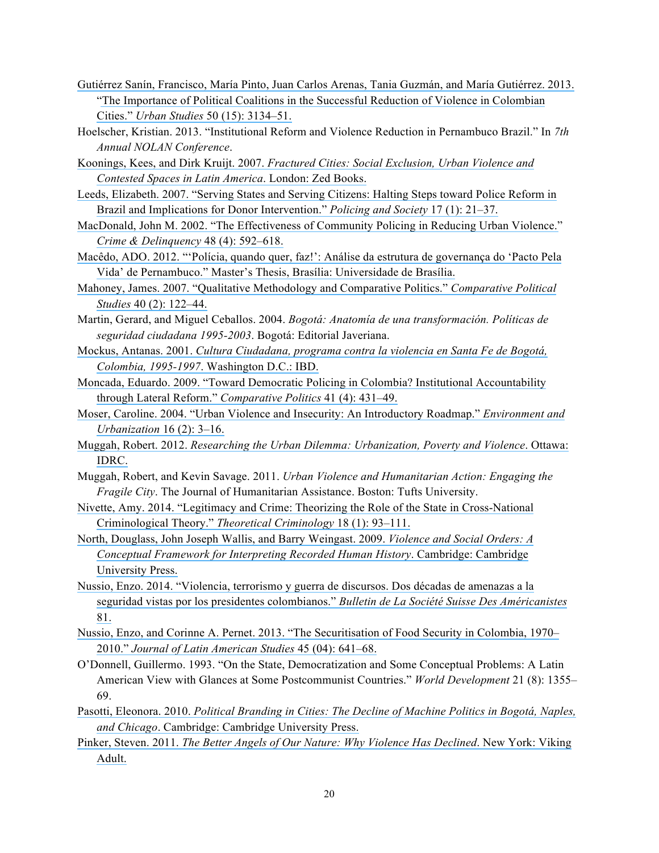- [Gutiérrez Sanín, Francisco, María Pinto, Juan Carlos Arenas, Tania Guzmán, and María Gutiérrez. 2013.](https://www.researchgate.net/publication/275504786_The_Importance_of_Political_Coalitions_in_the_Successful_Reduction_of_Violence_in_Colombian_Cities?el=1_x_8&enrichId=rgreq-b39e6adbe2eec9bd989e225528a306af-XXX&enrichSource=Y292ZXJQYWdlOzI2MzU4MDk5MDtBUzoyMTExODQxMzAyMzY0MTZAMTQyNzM2MTYyODc5Mg==)  ["The Importance of Political Coalitions in the Successful Reduction of Violence in Colombian](https://www.researchgate.net/publication/275504786_The_Importance_of_Political_Coalitions_in_the_Successful_Reduction_of_Violence_in_Colombian_Cities?el=1_x_8&enrichId=rgreq-b39e6adbe2eec9bd989e225528a306af-XXX&enrichSource=Y292ZXJQYWdlOzI2MzU4MDk5MDtBUzoyMTExODQxMzAyMzY0MTZAMTQyNzM2MTYyODc5Mg==)  Cities." *Urban Studies* [50 \(15\): 3134–51.](https://www.researchgate.net/publication/275504786_The_Importance_of_Political_Coalitions_in_the_Successful_Reduction_of_Violence_in_Colombian_Cities?el=1_x_8&enrichId=rgreq-b39e6adbe2eec9bd989e225528a306af-XXX&enrichSource=Y292ZXJQYWdlOzI2MzU4MDk5MDtBUzoyMTExODQxMzAyMzY0MTZAMTQyNzM2MTYyODc5Mg==)
- Hoelscher, Kristian. 2013. "Institutional Reform and Violence Reduction in Pernambuco Brazil." In *7th Annual NOLAN Conference*.
- Koonings, Kees, and Dirk Kruijt. 2007. *[Fractured Cities: Social Exclusion, Urban Violence and](https://www.researchgate.net/publication/46688507_Fractured_Cities_Social_Exclusion_Urban_Violence_and_Contested_Spaces_in_Latin_America?el=1_x_8&enrichId=rgreq-b39e6adbe2eec9bd989e225528a306af-XXX&enrichSource=Y292ZXJQYWdlOzI2MzU4MDk5MDtBUzoyMTExODQxMzAyMzY0MTZAMTQyNzM2MTYyODc5Mg==) [Contested Spaces in Latin America](https://www.researchgate.net/publication/46688507_Fractured_Cities_Social_Exclusion_Urban_Violence_and_Contested_Spaces_in_Latin_America?el=1_x_8&enrichId=rgreq-b39e6adbe2eec9bd989e225528a306af-XXX&enrichSource=Y292ZXJQYWdlOzI2MzU4MDk5MDtBUzoyMTExODQxMzAyMzY0MTZAMTQyNzM2MTYyODc5Mg==)*. London: Zed Books.
- [Leeds, Elizabeth. 2007. "Serving States and Serving Citizens: Halting Steps toward Police Reform in](https://www.researchgate.net/publication/249035223_Serving_States_and_Serving_Citizens_Halting_Steps_Toward_Police_Reform_in_Brazil_and_Implications_for_Donor_Intervention?el=1_x_8&enrichId=rgreq-b39e6adbe2eec9bd989e225528a306af-XXX&enrichSource=Y292ZXJQYWdlOzI2MzU4MDk5MDtBUzoyMTExODQxMzAyMzY0MTZAMTQyNzM2MTYyODc5Mg==) [Brazil and Implications for Donor Intervention."](https://www.researchgate.net/publication/249035223_Serving_States_and_Serving_Citizens_Halting_Steps_Toward_Police_Reform_in_Brazil_and_Implications_for_Donor_Intervention?el=1_x_8&enrichId=rgreq-b39e6adbe2eec9bd989e225528a306af-XXX&enrichSource=Y292ZXJQYWdlOzI2MzU4MDk5MDtBUzoyMTExODQxMzAyMzY0MTZAMTQyNzM2MTYyODc5Mg==) *Policing and Society* 17 (1): 21–37.
- [MacDonald, John M. 2002. "The Effectiveness of Community Policing in Reducing Urban Violence."](https://www.researchgate.net/publication/238342190_The_Effectiveness_of_Community_Policing_in_Reducing_Urban_Violence?el=1_x_8&enrichId=rgreq-b39e6adbe2eec9bd989e225528a306af-XXX&enrichSource=Y292ZXJQYWdlOzI2MzU4MDk5MDtBUzoyMTExODQxMzAyMzY0MTZAMTQyNzM2MTYyODc5Mg==) *[Crime & Delinquency](https://www.researchgate.net/publication/238342190_The_Effectiveness_of_Community_Policing_in_Reducing_Urban_Violence?el=1_x_8&enrichId=rgreq-b39e6adbe2eec9bd989e225528a306af-XXX&enrichSource=Y292ZXJQYWdlOzI2MzU4MDk5MDtBUzoyMTExODQxMzAyMzY0MTZAMTQyNzM2MTYyODc5Mg==)* 48 (4): 592–618.
- [Macêdo, ADO. 2012. "'Polícia, quando quer, faz!': Análise da estrutura de governança do 'Pacto Pela](https://www.researchgate.net/publication/262466067_Policia_quando_quer_faz_analise_da_estrutura_de_governanca_do_Pacto_pela_Vida_de_Pernambuco?el=1_x_8&enrichId=rgreq-b39e6adbe2eec9bd989e225528a306af-XXX&enrichSource=Y292ZXJQYWdlOzI2MzU4MDk5MDtBUzoyMTExODQxMzAyMzY0MTZAMTQyNzM2MTYyODc5Mg==)  [Vida' de Pernambuco." Master's Thesis, Brasília: Universidade de Brasília.](https://www.researchgate.net/publication/262466067_Policia_quando_quer_faz_analise_da_estrutura_de_governanca_do_Pacto_pela_Vida_de_Pernambuco?el=1_x_8&enrichId=rgreq-b39e6adbe2eec9bd989e225528a306af-XXX&enrichSource=Y292ZXJQYWdlOzI2MzU4MDk5MDtBUzoyMTExODQxMzAyMzY0MTZAMTQyNzM2MTYyODc5Mg==)
- [Mahoney, James. 2007. "Qualitative Methodology and Comparative Politics."](https://www.researchgate.net/publication/249699740_Qualitative_Methodology_and_Comparative_Politics?el=1_x_8&enrichId=rgreq-b39e6adbe2eec9bd989e225528a306af-XXX&enrichSource=Y292ZXJQYWdlOzI2MzU4MDk5MDtBUzoyMTExODQxMzAyMzY0MTZAMTQyNzM2MTYyODc5Mg==) *Comparative Political Studies* [40 \(2\): 122–44.](https://www.researchgate.net/publication/249699740_Qualitative_Methodology_and_Comparative_Politics?el=1_x_8&enrichId=rgreq-b39e6adbe2eec9bd989e225528a306af-XXX&enrichSource=Y292ZXJQYWdlOzI2MzU4MDk5MDtBUzoyMTExODQxMzAyMzY0MTZAMTQyNzM2MTYyODc5Mg==)
- Martin, Gerard, and Miguel Ceballos. 2004. *Bogotá: Anatomía de una transformación. Políticas de seguridad ciudadana 1995-2003*. Bogotá: Editorial Javeriana.
- Mockus, Antanas. 2001. *[Cultura Ciudadana, programa contra la violencia en Santa Fe de Bogotá,](https://www.researchgate.net/publication/254421904_Cultura_ciudadana_programa_contra_la_violencia_en_Santa_Fe_de_Bogota_Colombia_1995-1997?el=1_x_8&enrichId=rgreq-b39e6adbe2eec9bd989e225528a306af-XXX&enrichSource=Y292ZXJQYWdlOzI2MzU4MDk5MDtBUzoyMTExODQxMzAyMzY0MTZAMTQyNzM2MTYyODc5Mg==)  Colombia, 1995-1997*[. Washington D.C.: IBD.](https://www.researchgate.net/publication/254421904_Cultura_ciudadana_programa_contra_la_violencia_en_Santa_Fe_de_Bogota_Colombia_1995-1997?el=1_x_8&enrichId=rgreq-b39e6adbe2eec9bd989e225528a306af-XXX&enrichSource=Y292ZXJQYWdlOzI2MzU4MDk5MDtBUzoyMTExODQxMzAyMzY0MTZAMTQyNzM2MTYyODc5Mg==)
- [Moncada, Eduardo. 2009. "Toward Democratic Policing in Colombia? Institutional Accountability](https://www.researchgate.net/publication/233693625_Toward_Democratic_Policing_in_Colombia_Institutional_Accountability_through_Lateral_Reform?el=1_x_8&enrichId=rgreq-b39e6adbe2eec9bd989e225528a306af-XXX&enrichSource=Y292ZXJQYWdlOzI2MzU4MDk5MDtBUzoyMTExODQxMzAyMzY0MTZAMTQyNzM2MTYyODc5Mg==)  [through Lateral Reform."](https://www.researchgate.net/publication/233693625_Toward_Democratic_Policing_in_Colombia_Institutional_Accountability_through_Lateral_Reform?el=1_x_8&enrichId=rgreq-b39e6adbe2eec9bd989e225528a306af-XXX&enrichSource=Y292ZXJQYWdlOzI2MzU4MDk5MDtBUzoyMTExODQxMzAyMzY0MTZAMTQyNzM2MTYyODc5Mg==) *Comparative Politics* 41 (4): 431–49.
- [Moser, Caroline. 2004. "Urban Violence and Insecurity: An Introductory Roadmap."](https://www.researchgate.net/publication/265010201_Urban_Violence_and_Insecurity_An_Introductory_Roadmap?el=1_x_8&enrichId=rgreq-b39e6adbe2eec9bd989e225528a306af-XXX&enrichSource=Y292ZXJQYWdlOzI2MzU4MDk5MDtBUzoyMTExODQxMzAyMzY0MTZAMTQyNzM2MTYyODc5Mg==) *Environment and Urbanization* [16 \(2\): 3–16.](https://www.researchgate.net/publication/265010201_Urban_Violence_and_Insecurity_An_Introductory_Roadmap?el=1_x_8&enrichId=rgreq-b39e6adbe2eec9bd989e225528a306af-XXX&enrichSource=Y292ZXJQYWdlOzI2MzU4MDk5MDtBUzoyMTExODQxMzAyMzY0MTZAMTQyNzM2MTYyODc5Mg==)
- Muggah, Robert. 2012. *[Researching the Urban Dilemma: Urbanization, Poverty and Violence](https://www.researchgate.net/publication/265313736_Researching_the_Urban_Dilemma_Urbanization_Poverty_and_Violence?el=1_x_8&enrichId=rgreq-b39e6adbe2eec9bd989e225528a306af-XXX&enrichSource=Y292ZXJQYWdlOzI2MzU4MDk5MDtBUzoyMTExODQxMzAyMzY0MTZAMTQyNzM2MTYyODc5Mg==)*. Ottawa: [IDRC.](https://www.researchgate.net/publication/265313736_Researching_the_Urban_Dilemma_Urbanization_Poverty_and_Violence?el=1_x_8&enrichId=rgreq-b39e6adbe2eec9bd989e225528a306af-XXX&enrichSource=Y292ZXJQYWdlOzI2MzU4MDk5MDtBUzoyMTExODQxMzAyMzY0MTZAMTQyNzM2MTYyODc5Mg==)
- Muggah, Robert, and Kevin Savage. 2011. *Urban Violence and Humanitarian Action: Engaging the Fragile City*. The Journal of Humanitarian Assistance. Boston: Tufts University.
- [Nivette, Amy. 2014. "Legitimacy and Crime: Theorizing the Role of the State in Cross-National](https://www.researchgate.net/publication/275770745_Legitimacy_and_crime_Theorizing_the_role_of_the_state_in_cross-national_criminological_theory?el=1_x_8&enrichId=rgreq-b39e6adbe2eec9bd989e225528a306af-XXX&enrichSource=Y292ZXJQYWdlOzI2MzU4MDk5MDtBUzoyMTExODQxMzAyMzY0MTZAMTQyNzM2MTYyODc5Mg==) [Criminological Theory."](https://www.researchgate.net/publication/275770745_Legitimacy_and_crime_Theorizing_the_role_of_the_state_in_cross-national_criminological_theory?el=1_x_8&enrichId=rgreq-b39e6adbe2eec9bd989e225528a306af-XXX&enrichSource=Y292ZXJQYWdlOzI2MzU4MDk5MDtBUzoyMTExODQxMzAyMzY0MTZAMTQyNzM2MTYyODc5Mg==) *Theoretical Criminology* 18 (1): 93–111.
- [North, Douglass, John Joseph Wallis, and Barry Weingast. 2009.](https://www.researchgate.net/publication/227389940_Violence_and_Social_Orders_A_Conceptual_Framework_for_Interpreting_Recorded_Human_History?el=1_x_8&enrichId=rgreq-b39e6adbe2eec9bd989e225528a306af-XXX&enrichSource=Y292ZXJQYWdlOzI2MzU4MDk5MDtBUzoyMTExODQxMzAyMzY0MTZAMTQyNzM2MTYyODc5Mg==) *Violence and Social Orders: A [Conceptual Framework for Interpreting Recorded Human History](https://www.researchgate.net/publication/227389940_Violence_and_Social_Orders_A_Conceptual_Framework_for_Interpreting_Recorded_Human_History?el=1_x_8&enrichId=rgreq-b39e6adbe2eec9bd989e225528a306af-XXX&enrichSource=Y292ZXJQYWdlOzI2MzU4MDk5MDtBUzoyMTExODQxMzAyMzY0MTZAMTQyNzM2MTYyODc5Mg==)*. Cambridge: Cambridge [University Press.](https://www.researchgate.net/publication/227389940_Violence_and_Social_Orders_A_Conceptual_Framework_for_Interpreting_Recorded_Human_History?el=1_x_8&enrichId=rgreq-b39e6adbe2eec9bd989e225528a306af-XXX&enrichSource=Y292ZXJQYWdlOzI2MzU4MDk5MDtBUzoyMTExODQxMzAyMzY0MTZAMTQyNzM2MTYyODc5Mg==)
- [Nussio, Enzo. 2014. "Violencia, terrorismo y guerra de discursos. Dos décadas de amenazas a la](https://www.researchgate.net/publication/256032346_Violencia_Terrorismo_y_Guerra_de_Discursos_Dos_Decadas_de_Amenazas_a_la_Seguridad_Vistas_por_los_Presidentes_Colombianos_Violence_Terrorism_and_War_of_Discourses_Two_Decades_of_Security_Threats_Seen_f?el=1_x_8&enrichId=rgreq-b39e6adbe2eec9bd989e225528a306af-XXX&enrichSource=Y292ZXJQYWdlOzI2MzU4MDk5MDtBUzoyMTExODQxMzAyMzY0MTZAMTQyNzM2MTYyODc5Mg==) [seguridad vistas por los presidentes colombianos."](https://www.researchgate.net/publication/256032346_Violencia_Terrorismo_y_Guerra_de_Discursos_Dos_Decadas_de_Amenazas_a_la_Seguridad_Vistas_por_los_Presidentes_Colombianos_Violence_Terrorism_and_War_of_Discourses_Two_Decades_of_Security_Threats_Seen_f?el=1_x_8&enrichId=rgreq-b39e6adbe2eec9bd989e225528a306af-XXX&enrichSource=Y292ZXJQYWdlOzI2MzU4MDk5MDtBUzoyMTExODQxMzAyMzY0MTZAMTQyNzM2MTYyODc5Mg==) *Bulletin de La Société Suisse Des Américanistes* [81.](https://www.researchgate.net/publication/256032346_Violencia_Terrorismo_y_Guerra_de_Discursos_Dos_Decadas_de_Amenazas_a_la_Seguridad_Vistas_por_los_Presidentes_Colombianos_Violence_Terrorism_and_War_of_Discourses_Two_Decades_of_Security_Threats_Seen_f?el=1_x_8&enrichId=rgreq-b39e6adbe2eec9bd989e225528a306af-XXX&enrichSource=Y292ZXJQYWdlOzI2MzU4MDk5MDtBUzoyMTExODQxMzAyMzY0MTZAMTQyNzM2MTYyODc5Mg==)
- [Nussio, Enzo, and Corinne A. Pernet. 2013. "The Securitisation of Food Security in Colombia, 1970–](https://www.researchgate.net/publication/258514928_The_Securitisation_of_Food_Security_in_Colombia_1970-2010?el=1_x_8&enrichId=rgreq-b39e6adbe2eec9bd989e225528a306af-XXX&enrichSource=Y292ZXJQYWdlOzI2MzU4MDk5MDtBUzoyMTExODQxMzAyMzY0MTZAMTQyNzM2MTYyODc5Mg==) 2010." *[Journal of Latin American Studies](https://www.researchgate.net/publication/258514928_The_Securitisation_of_Food_Security_in_Colombia_1970-2010?el=1_x_8&enrichId=rgreq-b39e6adbe2eec9bd989e225528a306af-XXX&enrichSource=Y292ZXJQYWdlOzI2MzU4MDk5MDtBUzoyMTExODQxMzAyMzY0MTZAMTQyNzM2MTYyODc5Mg==)* 45 (04): 641–68.
- O'Donnell, Guillermo. 1993. "On the State, Democratization and Some Conceptual Problems: A Latin American View with Glances at Some Postcommunist Countries." *World Development* 21 (8): 1355– 69.
- Pasotti, Eleonora. 2010. *[Political Branding in Cities: The Decline of Machine Politics in Bogotá, Naples,](https://www.researchgate.net/publication/254064107_Political_Branding_in_Cities_The_Decline_of_Machine_Politics_in_Bogota_Naples_and_Chicago?el=1_x_8&enrichId=rgreq-b39e6adbe2eec9bd989e225528a306af-XXX&enrichSource=Y292ZXJQYWdlOzI2MzU4MDk5MDtBUzoyMTExODQxMzAyMzY0MTZAMTQyNzM2MTYyODc5Mg==) and Chicago*[. Cambridge: Cambridge University Press.](https://www.researchgate.net/publication/254064107_Political_Branding_in_Cities_The_Decline_of_Machine_Politics_in_Bogota_Naples_and_Chicago?el=1_x_8&enrichId=rgreq-b39e6adbe2eec9bd989e225528a306af-XXX&enrichSource=Y292ZXJQYWdlOzI2MzU4MDk5MDtBUzoyMTExODQxMzAyMzY0MTZAMTQyNzM2MTYyODc5Mg==)
- Pinker, Steven. 2011. *[The Better Angels of Our Nature: Why Violence Has Declined](https://www.researchgate.net/publication/281273810_The_Better_Angels_of_Our_Nature_Why_Violence_Has_Declined?el=1_x_8&enrichId=rgreq-b39e6adbe2eec9bd989e225528a306af-XXX&enrichSource=Y292ZXJQYWdlOzI2MzU4MDk5MDtBUzoyMTExODQxMzAyMzY0MTZAMTQyNzM2MTYyODc5Mg==)*. New York: Viking [Adult.](https://www.researchgate.net/publication/281273810_The_Better_Angels_of_Our_Nature_Why_Violence_Has_Declined?el=1_x_8&enrichId=rgreq-b39e6adbe2eec9bd989e225528a306af-XXX&enrichSource=Y292ZXJQYWdlOzI2MzU4MDk5MDtBUzoyMTExODQxMzAyMzY0MTZAMTQyNzM2MTYyODc5Mg==)